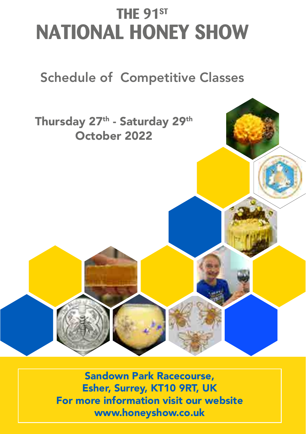# **THE 91ST NATIONAL HONEY SHOW**

# Schedule of Competitive Classes



Sandown Park Racecourse, Esher, Surrey, KT10 9RT, UK For more information visit our website www.honeyshow.co.uk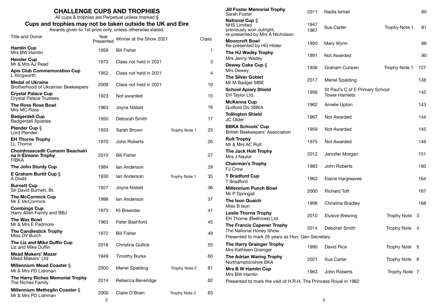|                                                                      |                   | <b>CHALLENGE CUPS AND TROPHIES</b><br>All cups & trophies are Perpetual unless marked § |               |                | <b>Jill Foster Memorial Trophy</b><br>Sarah Foster                                                         | 2011         | Nadia Ismail                                            |               | 80  |
|----------------------------------------------------------------------|-------------------|-----------------------------------------------------------------------------------------|---------------|----------------|------------------------------------------------------------------------------------------------------------|--------------|---------------------------------------------------------|---------------|-----|
| Cups and trophies may not be taken outside the UK and Eire           |                   | Awards given to 1st prize only, unless otherwise stated.                                |               |                | <b>National Cup S</b><br><b>NHS Limited</b><br>previously won outright,<br>re-presented by Mrs A Nicholson | 1947<br>1967 | Sue Carter                                              | Trophy Note 1 | 81  |
| Title and Donor                                                      | Year<br>Presented | Winner at the Show 2021                                                                 |               | Class          | <b>Moorcroft Bowl</b><br>Re-presented by HG Hilder                                                         | 1950         | Mary Wynn                                               |               | 86  |
| <b>Hamlin Cup</b><br>Mrs BW Hamlin                                   | 1959              | <b>Bill Fisher</b>                                                                      |               | $\mathbf{1}$   | The HJ Wadey Trophy                                                                                        | 1991         | Not Awarded                                             |               | 90  |
| <b>Hender Cup</b><br>Mr & Mrs AJ Read                                | 1973              | Class not held in 2021                                                                  |               | 3              | Mrs Jenny Wadey<br>Dewey Cake Cup §                                                                        |              |                                                         |               |     |
| <b>Apis Club Commemoration Cup</b><br>L Illingworth                  | 1952              | Class not held in 2021                                                                  |               | $\overline{4}$ | Mrs Dewey<br><b>The Silver Goblet</b>                                                                      | 1936         | <b>Graham Curwen</b>                                    | Trophy Note 1 | 127 |
| <b>Medal of Ukraine</b><br>Brotherhood of Ukrainian Beekeepers       | 2009              | Class not held in 2021                                                                  |               | 10             | Mr M Badger MBE                                                                                            | 2017         | <b>Meriel Spalding</b>                                  |               | 138 |
| <b>Crystal Palace Cup</b><br><b>Crystal Palace Trustees</b>          | 1923              | Not awarded                                                                             |               | 15             | <b>School Apiary Shield</b><br>EH Taylor Ltd.                                                              | 1956         | St Paul's C of E Primary School<br><b>Tower Hamlets</b> |               | 142 |
| <b>The Ross Rose Bowl</b><br>Mrs MC Ross                             | 1963              | Joyce Nisbet                                                                            |               | 16             | <b>McKenna Cup</b><br><b>Guilford Div SBKA</b>                                                             | 1962         | Amelie Upton                                            |               | 143 |
| <b>Badgerdell Cup</b><br><b>Badgerdell Apiaries</b>                  | 1950              | Deborah Smith                                                                           |               | 17             | <b>Tollington Shield</b><br>JC Older                                                                       | 1967         | Not Awarded                                             |               | 144 |
| Plender Cup §<br>Lord Plender                                        | 1933              | Sarah Brown                                                                             | Trophy Note 1 | 25             | <b>BBKA Schools' Cup</b><br>British Beekeepers' Association                                                | 1959         | Not Awarded                                             |               | 145 |
| <b>EH Thorne Trophy</b><br>LL Thorne                                 | 1970              | John Roberts                                                                            |               | 26             | <b>Rolt Trophy</b><br>Mr & Mrs AC Rolt                                                                     | 1975         | Not Awarded                                             |               | 146 |
| Chomhnascadh Cumann Beachairí<br>na h-Eireann Trophy<br><b>FIBKA</b> | 2010              | <b>Bill Fisher</b>                                                                      |               | 27             | The Jack Holt Trophy<br>Mrs J Naylor                                                                       | 2012         | Jennifer Morgan                                         |               | 151 |
| The John Sturdy Cup                                                  | 1984              | lan Anderson                                                                            |               | 29             | <b>Chairman's Trophy</b><br><b>FJ Crow</b>                                                                 | 1983         | John Roberts                                            |               | 160 |
| E Graham Burttt Cup §<br>A Dodd                                      | 1930              | lan Anderson                                                                            | Trophy Note 1 | 35             | <b>T Bradford Cup</b><br>T Bradford                                                                        | 1963         | Elaine Hargreaves                                       |               | 164 |
| <b>Burnett Cup</b><br>Sir David Burnett, Bt.                         | 1927              | Joyce Nisbet                                                                            |               | 36             | <b>Millennium Punch Bowl</b><br>Mr P Springall                                                             | 2000         | <b>Richard Toft</b>                                     |               | 167 |
| <b>The McCormick Cup</b><br>Mr E McCormick                           | 1998              | lan Anderson                                                                            |               | 37             | The Ison Quaich<br>Miss B Ison                                                                             | 1998         | Christina Bradley                                       |               | 168 |
| <b>Combings Cup</b><br>Harry Allen Family and BBJ                    | 1973              | <b>Kt Brewster</b>                                                                      |               | 41             | <b>Leslie Thorne Trophy</b>                                                                                | 2010         | <b>Elusive Brewing</b>                                  | Trophy Note 3 |     |
| <b>The Wax Bowl</b><br>Mr & Mrs E Padmore                            | 1963              | Peter Bashford                                                                          |               | 45             | EH Thorne (Beehives) Ltd<br><b>The Francis Capener Trophy</b>                                              |              |                                                         |               |     |
| <b>The Candlestick Trophy</b><br>Miss DV Burch                       | 1972              | <b>Bill Fisher</b>                                                                      |               | 49             | The National Honey Show<br>Presented to mark 26 years as Hon. Gen Secretary                                | 2014         | Deborah Smith                                           | Trophy Note 4 |     |
| The Liz and Mike Duffin Cup<br>Liz and Mike Duffin                   | 2018              | <b>Christine Gullick</b>                                                                |               | 55             | The Harry Grainger Trophy<br>Mrs Kathleen Grainger                                                         | 1990         | David Rice                                              | Trophy Note 5 |     |
| <b>Mead Makers' Mazer</b><br>Mead Makers' Ltd                        | 1949              | <b>Timothy Burke</b>                                                                    |               | 60             | The Adrian Waring Trophy<br>Northamptonshire BKA                                                           | 2021         | Sue Carter                                              | Trophy Note 6 |     |
| <b>Millennium Mead Coaster §</b><br>Mr & Mrs PD Lishman              | 2000              | <b>Meriel Spalding</b>                                                                  | Trophy Note 2 | 61             | <b>Mrs B W Hamlin Cup</b>                                                                                  | 1963         | John Roberts                                            | Trophy Note 7 |     |
| The Harry Riches Memorial Trophy<br>The Riches Family                | 2014              | Rebecca Beveridge                                                                       |               | 62             | Mrs BW Hamlin<br>Presented to mark the visit of H.R.H. The Princess Royal in 1962                          |              |                                                         |               |     |
| Millennium Metheglin Coaster §<br>Mr & Mrs PD Lishman                | 2000              | Claire O'Brien                                                                          | Trophy Note 2 | 63             |                                                                                                            |              |                                                         |               |     |
|                                                                      | $\overline{2}$    |                                                                                         |               |                |                                                                                                            |              | 3                                                       |               |     |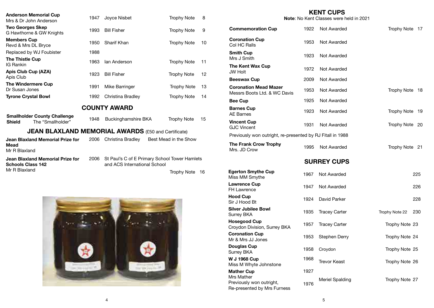| <b>Anderson Memorial Cup</b><br>Mrs & Dr John Anderson                    | 1947 | Joyce Nisbet                 | <b>Trophy Note</b>                            | 8  |
|---------------------------------------------------------------------------|------|------------------------------|-----------------------------------------------|----|
| <b>Two Georges Skep</b><br>G Hawthorne & GW Knights                       | 1993 | <b>Bill Fisher</b>           | <b>Trophy Note</b>                            | 9  |
| <b>Members Cup</b><br>Revd & Mrs DL Bryce                                 | 1950 | Sharif Khan                  | <b>Trophy Note</b>                            | 10 |
| Replaced by WJ Foubister                                                  | 1988 |                              |                                               |    |
| <b>The Thistle Cup</b><br>IG Rankin                                       | 1963 | lan Anderson                 | <b>Trophy Note</b>                            | 11 |
| Apis Club Cup (AZA)<br>Apis Club                                          | 1923 | <b>Bill Fisher</b>           | <b>Trophy Note</b>                            | 12 |
| <b>The Windermere Cup</b><br>Dr Susan Jones                               | 1991 | Mike Barringer               | <b>Trophy Note</b>                            | 13 |
| <b>Tyrone Crystal Bowl</b>                                                | 1992 | Christina Bradley            | <b>Trophy Note</b>                            | 14 |
|                                                                           |      | <b>COUNTY AWARD</b>          |                                               |    |
| <b>Smallholder County Challenge</b><br>The "Smallholder"<br><b>Shield</b> | 1948 | Buckinghamshire BKA          | <b>Trophy Note</b>                            | 15 |
| <b>JEAN BLAXLAND MEMORIAL AWARDS</b> (£50 and Certificate)                |      |                              |                                               |    |
| <b>Jean Blaxland Memorial Prize for</b><br>Mead<br>Mr R Blaxland          | 2006 | Christina Bradley            | Best Mead in the Show                         |    |
| Jean Blaxland Memorial Prize for<br><b>Schools Class 142</b>              | 2006 | and ACS International School | St Paul's C of E Primary School Tower Hamlets |    |
| Mr R Blaxland                                                             |      |                              | <b>Trophy Note</b>                            | 16 |
|                                                                           |      |                              |                                               |    |



# 5 **KENT CUPS Note**: No Kent Classes were held in 2021 **Commemoration Cup** 1922 Not Awarded Trophy Note 17 **Coronation Cup Col HC Ralls** 1953 Not Awarded<br>Col HC Ralls **Smith Cup** Simul Cup<br>Mrs J Smith 1923 Not Awarded **The Kent Wax Cup**<br>JW Holt JW Holt <sup>1972</sup> Not Awarded **Beeswax Cup** 2009 Not Awarded **Coronation Mead Mazer Coronation wead wazer** 1953 Not Awarded Trophy Note 18<br>Messrs Boots Ltd. & WC Davis **Bee Cup** 1925 Not Awarded **Barnes Cup**<br>AE Barnes and the set of the set of the 1923 Not Awarded Trophy Note 19<br>AE Barnes **Vincent Cup**  and the separator of the 1931 Not Awarded Trophy Note 20<br>GJC Vincent Previously won outright, re-presented by RJ Fitall in 1988 **The Frank Crow Trophy**<br>Mrs. JD Crow 1995 Not Awarded Trophy Note 21<br>Mrs. JD Crow **SURREY CUPS Egerton Smythe Cup** Egerton Smythe Cup<br>Miss MM Smythe 1967 Not Awarded 225 **Lawrence Cup** FH Lawrence <sup>1947</sup> Not Awarded <sup>226</sup> **Hood Cup**<br>Sir J Hood Bt and the United States of the 1924 David Parker 2008 1924 David Parker 228 **Silver Jubilee Bowl**<br>Surrey BKA Survey BKA 1935 Tracey Carter Trophy Note 22 230 **Hosegood Cup Hosegood Cup**<br>Croydon Division, Surrey BKA 1957 Tracey Carter Trophy Note 23 **Coronation Cup Coronation Cup**<br>Mr & Mrs JJ Jones 1953 Stephen Derry Trophy Note 24 **Douglas Cup**<br>Surrey BKA Surrey BKA <sup>1958</sup> Croydon Trophy Note <sup>25</sup> **W J 1968 Cup**  Miss M Whyte Johnstone 1968 Trevor Keast Trophy Note 26 **Mather Cup**  Mrs Mather Previously won outright, Re-presented by Mrs Furness 1927 Meriel Spalding Trophy Note 27 1976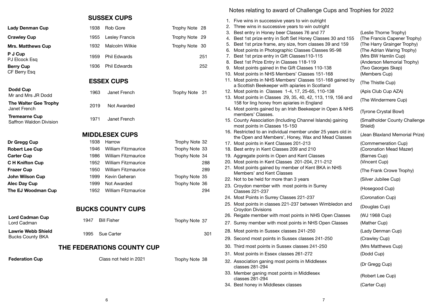# **SUSSEX CUPS**

| 1938 Rob Gore       | Trophy Note 28 |     |
|---------------------|----------------|-----|
| 1955 Lesley Francis | Trophy Note 29 |     |
| 1932 Malcolm Wilkie | Trophy Note 30 |     |
| 1959 Phil Fdwards   |                | 251 |
| 1936 Phil Fdwards   |                | 252 |

# **ESSEX CUPS**

| Dodd Cup<br>Mr and Mrs JR Dodd                  | 1963 | Janet French | Trophy Note 31 |  |
|-------------------------------------------------|------|--------------|----------------|--|
| The Walter Gee Trophy<br>Janet French           | 2019 | Not Awarded  |                |  |
| <b>Tremearne Cup</b><br>Saffron Waldon Division | 1971 | Janet French |                |  |

# **MIDDLESEX CUPS**

| Dr Gregg Cup           | 1938 | Harrow                     | Trophy Note 32 |     |
|------------------------|------|----------------------------|----------------|-----|
| <b>Robert Lee Cup</b>  | 1946 | <b>William Fitzmaurice</b> | Trophy Note 33 |     |
| <b>Carter Cup</b>      | 1986 | <b>William Fitzmaurice</b> | Trophy Note 34 |     |
| <b>C H Knifton Cup</b> | 1952 | <b>William Fitzmaurice</b> |                | 288 |
| <b>Frazer Cup</b>      | 1950 | <b>William Fitzmaurice</b> |                | 289 |
| <b>John Wilson Cup</b> | 1999 | Kevin Geheran              | Trophy Note 35 |     |
| <b>Alec Day Cup</b>    | 1999 | Not Awarded                | Trophy Note 36 |     |
| The EJ Woodman Cup     | 1952 | <b>William Fitzmaurice</b> |                | 294 |

# **BUCKS COUNTY CUPS**

| THE FEDERATIONS COUNTY CUP                           |      |                    |                |  |  |  |  |
|------------------------------------------------------|------|--------------------|----------------|--|--|--|--|
| <b>Lawrie Webb Shield</b><br><b>Bucks County BKA</b> |      | 1995 Sue Carter    | 301            |  |  |  |  |
| Lord Cadman Cup<br>Lord Cadman                       | 1947 | <b>Bill Fisher</b> | Trophy Note 37 |  |  |  |  |

**Lady Denman Cup** 

**Mrs. Matthews Cup** 

**Crawley Cup** 

**P J Cup** PJ Elcock Esq **Berry Cup** CF Berry Esq

**Dodd Cup**

**Federation Cup** Class not held in 2021 Trophy Note 38

Notes relating to award of Challenge Cups and Trophies for 2022

|  | 1. Five wins in successive years to win outright                                                                   |                                |
|--|--------------------------------------------------------------------------------------------------------------------|--------------------------------|
|  | 2. Three wins in successive years to win outright                                                                  |                                |
|  | 3. Best entry in Honey beer Classes 76 and 77                                                                      | (Leslie Thorne Trophy)         |
|  | 4. Best 1st prize entry in Soft Set Honey Classes 30 and 155                                                       | (The Francis Capener Trophy)   |
|  | 5. Best 1st prize frame, any size, from classes 39 and 159                                                         | (The Harry Grainger Trophy)    |
|  | 6. Most points in Photographic Classes Classes 95-98                                                               | (The Adrian Waring Trophy)     |
|  | 7. Best 1st prize entry in Gift Classes110-115                                                                     | (Mrs BW Hamlin Cup)            |
|  | 8. Best 1st Prize Entry in Classes 118-119                                                                         | (Anderson Memorial Trophy)     |
|  | 9. Most points gained in the Gift Classes 110-138                                                                  | (Two Georges Skep)             |
|  | 10. Most points in NHS Members' Classes 151-168                                                                    | (Members Cup)                  |
|  | 11. Most points in NHS Members' Classes 151-168 gained by                                                          |                                |
|  | a Scottish Beekeeper with apiaries in Scotland                                                                     | (The Thistle Cup)              |
|  | 12. Most points in Classes 1-4, 17, 25-65, 110-138                                                                 | (Apis Club Cup AZA)            |
|  | 13. Most points in Classes 29, 35, 40, 42, 113, 119, 156 and                                                       | (The Windermere Cup)           |
|  | 158 for ling honey from apiaries in England                                                                        |                                |
|  | 14. Most points gained by an Irish Beekeeper in Open & NHS                                                         | (Tyrone Crystal Bowl)          |
|  | members' Classes.                                                                                                  |                                |
|  | 15. County Association (Including Channel Islands) gaining                                                         | (Smallholder County Challenge  |
|  | most points in Classes 15-150                                                                                      | Shield)                        |
|  | 16. Restricted to an individual member under 25 years old in<br>the Open and Members', Honey, Wax and Mead Classes | (Jean Blaxland Memorial Prize) |
|  | 17. Most points in Kent Classes 201-213                                                                            | (Commemeration Cup)            |
|  | 18. Best entry in Kent Classes 209 and 210                                                                         | (Coronation Mead Mazer)        |
|  | 19. Aggregate points in Open and Kent Classes                                                                      | (Barnes Cup)                   |
|  | 20. Most points in Kent Classes 201-204, 211-212                                                                   | (Vincent Cup)                  |
|  | 21. Most points gained by member of Kent BKA in NHS                                                                |                                |
|  | Members' and Kent Classes                                                                                          | (The Frank Crowe Trophy)       |
|  | 22. Not to be held for more than 3 years                                                                           | (Silver Jubilee Cup)           |
|  | 23. Croydon member with most points in Surrey                                                                      |                                |
|  | <b>Classes 221-237</b>                                                                                             | (Hosegood Cup)                 |
|  | 24. Most Points in Surrey Classes 221-237                                                                          | (Coronation Cup)               |
|  | 25. Most points in classes 221-237 between Wimbledon and                                                           |                                |
|  | Croydon Divisions                                                                                                  | (Douglas Cup)                  |
|  | 26. Reigate member with most points in NHS Open Classes                                                            | (WJ 1968 Cup)                  |
|  | 27. Surrey member with most points in NHS Open Classes                                                             | (Mather Cup)                   |
|  | 28. Most points in Sussex classes 241-250                                                                          | (Lady Denman Cup)              |
|  | 29. Second most points in Sussex classes 241-250                                                                   | (Crawley Cup)                  |
|  | 30. Third most points in Sussex classes 241-250                                                                    | (Mrs Matthews Cup)             |
|  | 31. Most points in Essex classes 261-272                                                                           | (Dodd Cup)                     |
|  | 32. Association ganing most points in Middlesex                                                                    |                                |
|  | classes 281-294                                                                                                    | (Dr Gregg Cup)                 |
|  | 33. Member ganing most points in Middlesex                                                                         |                                |
|  | classes 281-294                                                                                                    | (Robert Lee Cup)               |
|  | 34. Best honey in Middlesex classes                                                                                | (Carter Cup)                   |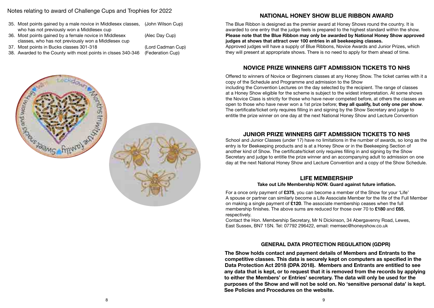# Notes relating to award of Challenge Cups and Trophies for 2022

- 35. Most points gained by a male novice in Middlesex classes, who has not previously won a Middlesex cup (John Wilson Cup)
- 36. Most points gained by a female novice in Middlesex classes, who has not previously won a Middlesex cup
- 37. Most points in Bucks classes 301-318 (Lord Cadman Cup)
- 38. Awarded to the County with most points in clsses 340-346 (Federation Cup)
- (Alec Day Cup)
- 

# **NATIONAL HONEY SHOW BLUE RIBBON AWARD**

The Blue Ribbon is designed as the premier award at Honey Shows round the country. It is awarded to one entry that the judge feels is prepared to the highest standard within the show. **Please note that the Blue Ribbon may only be awarded by National Honey Show approved judges at shows that attract over 100 entries in all beekeeping classes.** Approved judges will have a supply of Blue Ribbons, Novice Awards and Junior Prizes, which they will present at appropriate shows. There is no need to apply for them ahead of time.

# **NOVICE PRIZE WINNERS GIFT ADMISSION TICKETS TO NHS**

Offered to winners of Novice or Beginners classes at any Honey Show. The ticket carries with it a copy of the Schedule and Programme and admission to the Show

including the Convention Lectures on the day selected by the recipient. The range of classes at a Honey Show eligible for the scheme is subject to the widest interpretation. At some shows the Novice Class is strictly for those who have never competed before, at others the classes are open to those who have never won a 1st prize before; **they all qualify, but only one per show**. The certificate/ticket only requires filling in and signing by the Show Secretary and judge to entitle the prize winner on one day at the next National Honey Show and Lecture Convention

# **JUNIOR PRIZE WINNERS GIFT ADMISSION TICKETS TO NHS**

School and Junior Classes (under 17) have no limitations in the number of awards, so long as the entry is for Beekeeping products and is at a Honey Show or in the Beekeeping Section of another kind of Show. The certificate/ticket only requires filling in and signing by the Show Secretary and judge to entitle the prize winner and an accompanying adult to admission on one day at the next National Honey Show and Lecture Convention and a copy of the Show Schedule.

# **LIFE MEMBERSHIP**

#### **Take out Life Membership NOW. Guard against future inflation.**

For a once only payment of **£375**, you can become a member of the Show for your 'Life' A spouse or partner can similarly become a Life Associate Member for the life of the Full Member on making a single payment of **£120**. The associate membership ceases when the full membership finishes. The above sums are reduced for those over 70 to **£180** and **£65**, respectively.

Contact the Hon. Membership Secretary, Mr N Dickinson, 34 Abergavenny Road, Lewes, East Sussex, BN7 1SN. Tel: 07792 296422, email: memsec@honeyshow.co.uk

# **GENERAL DATA PROTECTION REGULATION (GDPR)**

**The Show holds contact and payment details of Members and Entrants to the competitive classes. This data is securely kept on computers as specified in the Data Protection Act 2018 (DPA 2018). Members and Entrants are entitled to see any data that is kept, or to request that it is removed from the records by applying to either the Members' or Entries' secretary. The data will only be used for the purposes of the Show and will not be sold on. No 'sensitive personal data' is kept. See Policies and Procedures on the website.**

9





8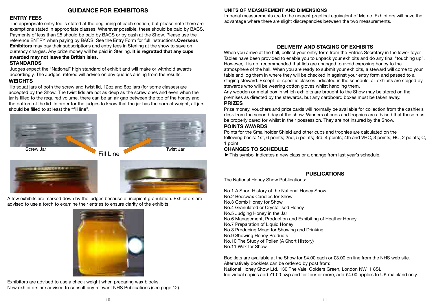#### **ENTRY FEES**

The appropriate entry fee is stated at the beginning of each section, but please note there are exemptions stated in appropriate classes. Wherever possible, these should be paid by BACS. Payments of less than £5 should be paid by BACS or by cash at the Show. Please use the reference ENTRY when paying by BACS. See the Entry Form for full instructions.**Overseas Exhibitors** may pay their subscriptions and entry fees in Sterling at the show to save on currency charges. Any prize money will be paid in Sterling. **It is regretted that any cups awarded may not leave the British Isles.**

# **STANDARDS**

Judges expect the "National" high standard of exhibit and will make or withhold awards accordingly. The Judges' referee will advise on any queries arising from the results.

# **WEIGHTS**

1lb squat jars of both the screw and twist lid, 12oz and 8oz jars (for some classes) are accepted by the Show. The twist lids are not as deep as the screw ones and even when the jar is filled to the required volume, there can be an air gap between the top of the honey and the bottom of the lid. In order for the judges to know that the jar has the correct weight, all jars should be filled to at least the "fill line".





Fill Line Screw Jar Twist Jar Twist Jar Twist Jar Twist Jar Twist Jar Twist Jar Twist Jar Twist Jar Twist Jar Twist Jar Twist Jar Twist Jar Twist Jar Twist Jar Twist Jar Twist Jar Twist Jar Twist Jar Twist Jar Twist Jar Twist Jar Tw





A few exhibits are marked down by the judges because of incipient granulation. Exhibitors are advised to use a torch to examine their entries to ensure clarity of the exhibits.



Exhibitors are advised to use a check weight when preparing wax blocks. New exhibitors are advised to consult any relevant NHS Publications (see page 12).

#### **GUIDANCE FOR EXHIBITORS UNITS OF MEASUREMENT AND DIMENSIONS**

Imperial measurements are to the nearest practical equivalent of Metric. Exhibitors will have the advantage where there are slight discrepancies between the two measurements.

# **DELIVERY AND STAGING OF EXHIBITS**

When you arrive at the hall, collect your entry form from the Entries Secretary in the lower foyer. Tables have been provided to enable you to unpack your exhibits and do any final "touching up". However, it is not recommended that lids are changed to avoid exposing honey to the atmosphere of the hall. When you are ready to submit your exhibits, a steward will come to your table and log them in where they will be checked in against your entry form and passed to a staging steward. Except for specific classes indicated in the schedule, all exhibits are staged by stewards who will be wearing cotton gloves whilst handling them.

Any wooden or metal box in which exhibits are brought to the Show may be stored on the premises as directed by the stewards, but any cardboard boxes must be taken away. **PRIZES**

Prize money, vouchers and prize cards will normally be available for collection from the cashier's desk from the second day of the show. Winners of cups and trophies are advised that these must be properly cared for whilst in their possession. They are not insured by the Show.

# **POINTS AWARDS**

Points for the Smallholder Shield and other cups and trophies are calculated on the following basis: 1st, 6 points; 2nd, 5 points; 3rd, 4 points; 4th and VHC, 3 points; HC, 2 points; C, 1 point.

# **CHANGES TO SCHEDULE**

 $\blacktriangleright$  This symbol indicates a new class or a change from last year's schedule.

# **PUBLICATIONS**

The National Honey Show Publications:

No.1 A Short History of the National Honey Show No.2 Beeswax Candles for Show No.3 Comb Honey for Show No.4 Granulated or Crystallised Honey No.5 Judging Honey in the Jar No.6 Management, Production and Exhibiting of Heather Honey No.7 Preparation of Liquid Honey No.8 Producing Mead for Showing and Drinking No.9 Showing Honey Products No.10 The Study of Pollen (A Short History) No.11 Wax for Show

Booklets are available at the Show for £4.00 each or £3.00 on line from the NHS web site. Alternatively booklets can be ordered by post from: National Honey Show Ltd. 130 The Vale, Golders Green, London NW11 8SL. Individual copies add £1.00 p&p and for four or more, add £4.00 applies to UK mainland only.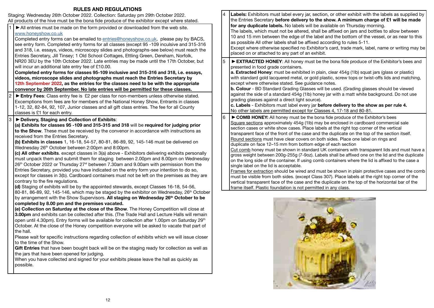# **RULES AND REGULATIONS**

| <b>RULES AND REGULATIONS</b>                                                                                                                                                                                                                                                                                                                                                                                                                                                                                                                                                                                                                                                                                                                                                                                                                                                                                                                                                                                                                                                                                                                                                               |   |                                                                                                                                                                                                                                                                                                                                                                                                                                                                                                                                                                                                                                                                                                                                                                                                                                                                                                                                                                                                                                                                                                                                                                                                                                                      |
|--------------------------------------------------------------------------------------------------------------------------------------------------------------------------------------------------------------------------------------------------------------------------------------------------------------------------------------------------------------------------------------------------------------------------------------------------------------------------------------------------------------------------------------------------------------------------------------------------------------------------------------------------------------------------------------------------------------------------------------------------------------------------------------------------------------------------------------------------------------------------------------------------------------------------------------------------------------------------------------------------------------------------------------------------------------------------------------------------------------------------------------------------------------------------------------------|---|------------------------------------------------------------------------------------------------------------------------------------------------------------------------------------------------------------------------------------------------------------------------------------------------------------------------------------------------------------------------------------------------------------------------------------------------------------------------------------------------------------------------------------------------------------------------------------------------------------------------------------------------------------------------------------------------------------------------------------------------------------------------------------------------------------------------------------------------------------------------------------------------------------------------------------------------------------------------------------------------------------------------------------------------------------------------------------------------------------------------------------------------------------------------------------------------------------------------------------------------------|
| Staging: Wednesday 26th October 2022. Collection: Saturday pm 29th October 2022.<br>All products of the hive must be the bona fide produce of the exhibitor except where stated.<br>All entries must be made on the form provided or downloaded from the web site.<br>www.honeyshow.co.uk<br>Completed entry forms can be emailed to entries@honeyshow.co.uk, please pay by BACS,<br>see entry form. Completed entry forms for all classes (except 95 -109 inculsive and 315-316<br>and 318, i.e. essays, videos, microscopy slides and photographs-see below) must reach the<br>Entries Secretary, Jill Tinsey; 1 Old School Cottages, Ettling Green, Dereham, Norfolk,                                                                                                                                                                                                                                                                                                                                                                                                                                                                                                                   | 4 | Labels: Exhibitors must label every jar, section, or other exhibit with the labels as supplied by<br>the Entries Secretary before delivery to the show. A minimum charge of £1 will be made<br>for any duplicate labels. No labels will be available on Thursday morning.<br>The labels, which must not be altered, shall be affixed on jars and bottles to allow between<br>10 and 15 mm between the edge of the label and the bottom of the vessel, or as near to this<br>as possible All other labels shall be affixed according to rules 5-11.<br>Except where otherwise specified no Exhibitor's card, trade mark, label, name or writing may be<br>placed on or attached to any part of an exhibit.                                                                                                                                                                                                                                                                                                                                                                                                                                                                                                                                            |
| NR20 3EU by the 10th October 2022. Late entries may be made until the 17th October, but<br>will incur an additional late entry fee of £10.00.<br>Completed entry forms for classes 95-109 inclusive and 315-316 and 318, i.e. essays,<br>videos, microscope slides and photographs must reach the Entries Secretary by<br>12th September 2022, as the entries for the classes need to be with the appropriate<br>convenor by 26th September. No late entries will be permitted for these classes.                                                                                                                                                                                                                                                                                                                                                                                                                                                                                                                                                                                                                                                                                          | 5 | EXTRACTED HONEY: All honey must be the bona fide produce of the Exhibitor's bees and<br>presented in food grade containers.<br>a. Extracted Honey: must be exhibited in plain, clear 454g (1lb) squat jars (glass or plastic)<br>with standard gold lacquered metal, or gold plastic, screw tops or twist-offs lids and matching,<br>except where otherwise stated. See guidance notes.<br><b>b. Colour</b> - BD Standard Grading Glasses will be used. (Grading glasses should be viewed                                                                                                                                                                                                                                                                                                                                                                                                                                                                                                                                                                                                                                                                                                                                                            |
| Entry Fees: Class entry fee is £2 per class for non-members unless otherwise stated.<br>Excemptions from fees are for members of the National Honey Show, Entrants in classes<br>1-12, 32, 82-84, 92, 107, Junior classes and all gift class entries. The fee for all County<br>classes is £1 for each entry.                                                                                                                                                                                                                                                                                                                                                                                                                                                                                                                                                                                                                                                                                                                                                                                                                                                                              |   | against the side of a standard 454g (1lb) honey jar with a matt white background. Do not use<br>grading glasses against a direct light source).<br>c. Labels - Exhibitors must label every jar before delivery to the show as per rule 4.<br>No other labels are permitted except for Classes 4, 17-18 and 80-81.                                                                                                                                                                                                                                                                                                                                                                                                                                                                                                                                                                                                                                                                                                                                                                                                                                                                                                                                    |
| Delivery, Staging and Collection of Exhibits:<br>(a) Exhibits for classes 95 -109 and 315-315 and 318 will be required for judging prior<br>to the Show. These must be received by the convenor in accordance with instructions as<br>received from the Entries Secretary.<br>(b) Exhibits in classes 1, 16-18, 54-57, 80-81, 86-89, 92, 145-146 must be delivered on<br>Wednesday 26 <sup>th</sup> October between 2:00pm and 8:00pm.<br>(c) All other exhibits. except classes in 3(a) above - Exhibitors delivering exhibits personally<br>must unpack them and submit them for staging between 2.00pm and 8.00pm on Wednesday<br>26 <sup>th</sup> October 2022 or Thursday 27 <sup>st</sup> between 7.30am and 9.00am with permission from the<br>Entries Secretary, provided you have indicated on the entry form your intention to do so,<br>except for classes in 3(b). Cardboard containers must not be left on the premises as they are<br>contrary to the fire regulations.<br>(d) Staging of exhibits will be by the appointed stewards, except Classes 16-18, 54-56,<br>80-81, 86-89, 92, 145-146, which may be staged by the exhibitor on Wednesday, 26 <sup>th</sup> October | 6 | COMB HONEY: All honey must be the bona fide produce of the Exhibitor's bees<br>Square sections approximately 454g (1lb) may be enclosed in cardboard commercial sale<br>section cases or white show cases. Place labels at the right top corner of the vertical<br>transparent face of the front of the case and the duplicate on the top of the section itself.<br>Round sections must have clear covers on both sides. Place one label on rings and<br>duplicate on face 12-15 mm from bottom edge of each section<br>Cut comb honey must be shown in standard UK containers with transparent lids and must have a<br>gross weight between 200g-255g (7-9oz). Labels shall be affixed one on the lid and the duplicate<br>on the long side of the container. If using comb containers where the lid is affixed to the case a<br>single label on the lid is acceptable.<br>Frames for extraction should be wired and must be shown in plain protective cases and the comb<br>must be visible from both sides. (except Class 307). Place labels at the right top corner of the<br>vertical transparent face of the case and the duplicate on the top of the horizontal bar of the<br>frame itself. Plastic foundation is not permitted in any class. |
| by arrangement with the Show Supervisors. All staging on Wednesday 26th October to be<br>completed by 8.00 pm and the premises vacated.<br>(e) Collection on Saturday at the close of the Show. The Honey Competition will close at<br>3.00pm and exhibits can be collected after this. (The Trade Hall and Lecture Halls will remain<br>open until 4.30pm). Entry forms will be available for collection after 1.00pm on Saturday 29th<br>October. At the close of the Honey competition everyone will be asked to vacate that part of<br>the hall.<br>Please wait for specific instructions regarding collection of exhibits which we will issue closer<br>to the time of the Show.<br>Gift Entries that have been bought back will be on the staging ready for collection as well as<br>the jars that have been opened for judging.<br>When you have collected and signed for your exhibits please leave the hall as quickly as                                                                                                                                                                                                                                                         |   |                                                                                                                                                                                                                                                                                                                                                                                                                                                                                                                                                                                                                                                                                                                                                                                                                                                                                                                                                                                                                                                                                                                                                                                                                                                      |

possible.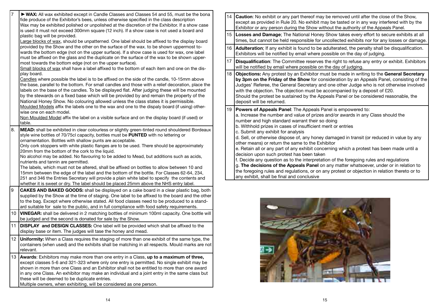|                  | ► WAX: All wax exhibited except in Candle Classes and Classes 54 and 55, must be the bona<br>fide produce of the Exhibitor's bees, unless otherwise specified in the class description<br>Wax may be exhibited polished or unpolished at the discretion of the Exhibitor. If a show case<br>is used it must not exceed 300mm square (12 inch). If a show case is not used a board and<br>plastic bag will be provided.                                                                                                                                                                                                                                                                                                                                                                                                                                                                                                         |          | Caution: No exhibit or any part thereof may be removed until after the close of the Show,<br>except as provided in Rule 20. No exhibit may be tasted or in any way interfered with by the<br>Exhibitor or any person during the Show without the authority of the Appeals Panel.<br>Losses and Damage; The National Honey Show takes every effort to secure exhibits at all<br>times, but cannot be held responsible for uncollected exhibits nor for any losses or damage.                                                                                                                                                                                        |
|------------------|--------------------------------------------------------------------------------------------------------------------------------------------------------------------------------------------------------------------------------------------------------------------------------------------------------------------------------------------------------------------------------------------------------------------------------------------------------------------------------------------------------------------------------------------------------------------------------------------------------------------------------------------------------------------------------------------------------------------------------------------------------------------------------------------------------------------------------------------------------------------------------------------------------------------------------|----------|--------------------------------------------------------------------------------------------------------------------------------------------------------------------------------------------------------------------------------------------------------------------------------------------------------------------------------------------------------------------------------------------------------------------------------------------------------------------------------------------------------------------------------------------------------------------------------------------------------------------------------------------------------------------|
|                  | Large blocks of wax, should be unpatterned. One label should be affixed to the display board<br>provided by the Show and the other on the surface of the wax, to be shown uppermost to-<br>wards the bottom edge (not on the upper surface). If a show case is used for wax, one label                                                                                                                                                                                                                                                                                                                                                                                                                                                                                                                                                                                                                                         | 16       | Adulteration; If any exhibit is found to be adulterated, the penalty shall be disqualification.<br>Exhibitors will be notified by email where possible on the day of judging.                                                                                                                                                                                                                                                                                                                                                                                                                                                                                      |
|                  | must be affixed on the glass and the duplicate on the surface of the wax to be shown upper-<br>most towards the bottom edge (not on the upper surface).<br>Small blocks of wax shall have a label affixed to the bottom of each item and one on the dis-                                                                                                                                                                                                                                                                                                                                                                                                                                                                                                                                                                                                                                                                       | 17       | Disqualification: The Committee reserves the right to refuse any entry or exhibit. Exhibitors<br>will be notified by email where possible on the day of judging.                                                                                                                                                                                                                                                                                                                                                                                                                                                                                                   |
|                  | play board.<br>Candles where possible the label is to be affixed on the side of the candle, 10-15mm above<br>the base, parallel to the bottom. For small candles and those with a relief decoration, place the<br>labels on the base of the candles. To be displayed flat. After judging these will be mounted<br>by the stewards on a fixed base which will be provided by and remain the property of the<br>National Honey Show. No colouring allowed unless the class states it is permissible.<br>Moulded Models affix the labels one to the wax and one to the dispaly board (if using) other-                                                                                                                                                                                                                                                                                                                            | 18<br>19 | Objections: Any protest by an Exhibitor must be made in writing to the General Secretary<br>by 3pm on the Friday of the Show for consideration by an Appeals Panel, consisting of the<br>Judges' Referee, the General Secretary and one other Judge who is not otherwise involved<br>with the objection. The objection must be accompanied by a deposit of £20.<br>Should the protest be sustained by the Appeals Panel or be considered reasonable, the<br>deposit will be returned.                                                                                                                                                                              |
|                  | wise one on each model.<br>Non Moulded Model affix the label on a visible surface and on the display board (if used) or<br>table.                                                                                                                                                                                                                                                                                                                                                                                                                                                                                                                                                                                                                                                                                                                                                                                              |          | <b>Powers of Appeals Panel:</b> The Appeals Panel is empowered to:<br>a. Increase the number and value of prizes and/or awards in any Class should the<br>number and high standard warrant their so doing<br>b. Withhold prizes in cases of insufficient merit or entries                                                                                                                                                                                                                                                                                                                                                                                          |
| 8.               | MEAD: shall be exhibited in clear colourless or slightly green-tinted round shouldered Bordeaux<br>style wine bottles of 70/75cl capacity, bottles must be PUNTED with no lettering or<br>ornamentation. Bottles with shallow punts are acceptable.<br>Only cork stoppers with white plastic flanges are to be used. There should be approximately<br>20mm from the bottom of the cork to the liquid.<br>No alcohol may be added. No flavouring to be added to Mead, but additions such as acids,<br>nutrients and tannin are permitted.<br>The labels, which must not be altered, shall be affixed on bottles to allow between 10 and<br>15mm between the edge of the label and the bottom of the bottle. For Classes 62-64, 234,<br>251 and 346 the Entries Secretary will provide a plain white label to specify the contents and<br>whether it is sweet or dry. The label should be placed 25mm above the NHS entry label. |          | c. Submit any exhibit for analysis<br>d. Sell, or otherwise dispose of, any honey damaged in transit (or reduced in value by any<br>other means) or return the same to the Exhibitor<br>e. Retain all or any part of any exhibit concerning which a protest has been made until a<br>decision upon such protest has been taken<br>f. Decide any question as to the interpretation of the foregoing rules and regulations<br>g. The decisions of the Appeals Panel on any matter whatsoever, under or in relation to<br>the foregoing rules and regulations, or on any protest or objection in relation thereto or to<br>any exhibit, shall be final and conclusive |
| 19               | <b>CAKES AND BAKED GOODS:</b> shall be displayed on a cake board in a clear plastic bag, both<br>supplied by the Show at the time of staging. One label to be affixed to the board and the other<br>to the bag. Except where otherwise stated. All food classes need to be produced to a stand-<br>ard suitable for sale to the public, and in full compliance with food safety requirements.                                                                                                                                                                                                                                                                                                                                                                                                                                                                                                                                  |          |                                                                                                                                                                                                                                                                                                                                                                                                                                                                                                                                                                                                                                                                    |
| 10               | <b>VINEGAR:</b> shall be delivered in 2 matching bottles of minimum 100ml capacity. One bottle will<br>be judged and the second is donated for sale by the Show.                                                                                                                                                                                                                                                                                                                                                                                                                                                                                                                                                                                                                                                                                                                                                               |          |                                                                                                                                                                                                                                                                                                                                                                                                                                                                                                                                                                                                                                                                    |
| 11               | DISPLAY and DESIGN CLASSES: One label will be provided which shall be affixed to the<br>display base or item. The judges will tase the honey and mead.                                                                                                                                                                                                                                                                                                                                                                                                                                                                                                                                                                                                                                                                                                                                                                         |          |                                                                                                                                                                                                                                                                                                                                                                                                                                                                                                                                                                                                                                                                    |
|                  | 12 <b>Uniformity:</b> When a Class requires the staging of more than one exhibit of the same type, the<br>containers (when used) and the exhibits shall be matching in all respects. Mould marks are not<br>relevant.                                                                                                                                                                                                                                                                                                                                                                                                                                                                                                                                                                                                                                                                                                          |          |                                                                                                                                                                                                                                                                                                                                                                                                                                                                                                                                                                                                                                                                    |
| 13 <sup>13</sup> | Awards: Exhibitors may make more than one entry in a Class, up to a maximum of three,<br>except classes 5-6 and 321-323 where only one entry is permitted. No single exhibit may be<br>shown in more than one Class and an Exhibitor shall not be entitled to more than one award<br>in any one Class. An exhibitor may make an individual and a joint entry in the same class but<br>these will be deemed to be duplicate entries.<br>Multiple owners, when exhibiting, will be considered as one person.                                                                                                                                                                                                                                                                                                                                                                                                                     |          |                                                                                                                                                                                                                                                                                                                                                                                                                                                                                                                                                                                                                                                                    |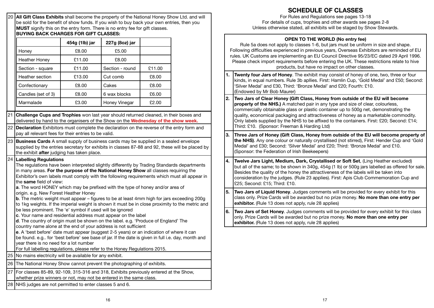| MUST signify this on the entry form. There is no entry fee for gift classes.<br><b>BUYING BACK CHARGES FOR GIFT CLASSES:</b>                                                                                                                                                                                                                                                                                                                                                                                                                                                                                                                                                                                                                                                                                                                                                                                                                                                                                                                                                                                                                                                                                                                                                                                                                 |                                  |                 |        |  |  |  |  |
|----------------------------------------------------------------------------------------------------------------------------------------------------------------------------------------------------------------------------------------------------------------------------------------------------------------------------------------------------------------------------------------------------------------------------------------------------------------------------------------------------------------------------------------------------------------------------------------------------------------------------------------------------------------------------------------------------------------------------------------------------------------------------------------------------------------------------------------------------------------------------------------------------------------------------------------------------------------------------------------------------------------------------------------------------------------------------------------------------------------------------------------------------------------------------------------------------------------------------------------------------------------------------------------------------------------------------------------------|----------------------------------|-----------------|--------|--|--|--|--|
|                                                                                                                                                                                                                                                                                                                                                                                                                                                                                                                                                                                                                                                                                                                                                                                                                                                                                                                                                                                                                                                                                                                                                                                                                                                                                                                                              | 454g (1lb) jar<br>227g (8oz) jar |                 |        |  |  |  |  |
| Honey                                                                                                                                                                                                                                                                                                                                                                                                                                                                                                                                                                                                                                                                                                                                                                                                                                                                                                                                                                                                                                                                                                                                                                                                                                                                                                                                        | £8.00                            | £5.00           |        |  |  |  |  |
| <b>Heather Honey</b>                                                                                                                                                                                                                                                                                                                                                                                                                                                                                                                                                                                                                                                                                                                                                                                                                                                                                                                                                                                                                                                                                                                                                                                                                                                                                                                         | £11.00                           | £8.00           |        |  |  |  |  |
| Section - square                                                                                                                                                                                                                                                                                                                                                                                                                                                                                                                                                                                                                                                                                                                                                                                                                                                                                                                                                                                                                                                                                                                                                                                                                                                                                                                             | £11.00                           | Section - round | £11.00 |  |  |  |  |
| Heather section                                                                                                                                                                                                                                                                                                                                                                                                                                                                                                                                                                                                                                                                                                                                                                                                                                                                                                                                                                                                                                                                                                                                                                                                                                                                                                                              | £13.00                           | Cut comb        | £8.00  |  |  |  |  |
| Confectionary                                                                                                                                                                                                                                                                                                                                                                                                                                                                                                                                                                                                                                                                                                                                                                                                                                                                                                                                                                                                                                                                                                                                                                                                                                                                                                                                | £8.00                            | Cakes           | £8.00  |  |  |  |  |
| Candles (set of 3)                                                                                                                                                                                                                                                                                                                                                                                                                                                                                                                                                                                                                                                                                                                                                                                                                                                                                                                                                                                                                                                                                                                                                                                                                                                                                                                           | £8.00                            | 6 wax blocks    | £6.00  |  |  |  |  |
| Marmalade                                                                                                                                                                                                                                                                                                                                                                                                                                                                                                                                                                                                                                                                                                                                                                                                                                                                                                                                                                                                                                                                                                                                                                                                                                                                                                                                    | £3.00                            | Honey Vinegar   | £2.00  |  |  |  |  |
| delivered by hand to the organisers of the Show on the Wednesday of the show week.<br>22 Declaration Exhibitors must complete the declaration on the reverse of the entry form and<br>pay all relevant fees for their entries to be valid.                                                                                                                                                                                                                                                                                                                                                                                                                                                                                                                                                                                                                                                                                                                                                                                                                                                                                                                                                                                                                                                                                                   |                                  |                 |        |  |  |  |  |
| 23 Business Cards A small supply of business cards may be supplied in a sealed envelope<br>supplied by the entries secretary for exhibits in classes 87-88 and 92, these will be placed by                                                                                                                                                                                                                                                                                                                                                                                                                                                                                                                                                                                                                                                                                                                                                                                                                                                                                                                                                                                                                                                                                                                                                   |                                  |                 |        |  |  |  |  |
| the exhibit after judging has taken place.<br>24   Labelling Regulations<br>The regulations have been interpreted slightly differently by Trading Standards departments<br>in many areas. For the purpose of the National Honey Show all classes requiring the<br>Exhibitor's own labels must comply with the following requirements which must all appear in<br>the same field of view:<br>a. The word HONEY which may be prefixed with the type of honey and/or area of<br>origin. e.g. New Forest Heather Honey<br><b>b</b> . The metric weight must appear - figures to be at least 4mm high for jars exceeding 200g<br>to 1kg weights. If the imperial weight is shown it must be in close proximity to the metric and<br>be less prominent. The 'e' symbol if used will be ignored<br>c. Your name and residential address must appear on the label<br>d. The country of origin must be shown on the label. e.g. 'Produce of England' The<br>country name alone at the end of your address is not sufficient<br>e. A 'best before' date must appear (suggest 2-5 years) or an indication of where it can<br>be found. e.g for 'best before' see base of jar. If the date is given in full i.e. day, month and<br>year there is no need for a lot number<br>For full labelling regulations, please refer to the Honey Regulations 2015. |                                  |                 |        |  |  |  |  |
| 25 No mains electricity will be available for any exhibit.                                                                                                                                                                                                                                                                                                                                                                                                                                                                                                                                                                                                                                                                                                                                                                                                                                                                                                                                                                                                                                                                                                                                                                                                                                                                                   |                                  |                 |        |  |  |  |  |
| 26 The National Honey Show cannot prevent the photographing of exhibits.                                                                                                                                                                                                                                                                                                                                                                                                                                                                                                                                                                                                                                                                                                                                                                                                                                                                                                                                                                                                                                                                                                                                                                                                                                                                     |                                  |                 |        |  |  |  |  |
| 27 For classes 85-89, 92-109, 315-316 and 318, Exhibits previously entered at the Show,<br>whether prize winners or not, may not be entered in the same class.                                                                                                                                                                                                                                                                                                                                                                                                                                                                                                                                                                                                                                                                                                                                                                                                                                                                                                                                                                                                                                                                                                                                                                               |                                  |                 |        |  |  |  |  |

28 NHS judges are not permitted to enter classes 5 and 6.

# **SCHEDULE OF CLASSES**

For Rules and Regulations see pages 13-18 For details of cups, trophies and other awards see pages 2-8 Unless otherwise stated, all exhibits will be staged by Show Stewards.

# **OPEN TO THE WORLD (No entry fee)**

|    | Rule 5a does not apply to classes 1-6, but jars must be uniform in size and shape.<br>Following difficulties experienced in previous years, Overseas Exhibitors are reminded of EU<br>rules. UK Customs are implementing an EU Council Directive 95/23/EC dated 29 April 1996.<br>Please check import requirements before entering the UK. These restrictions relate to hive<br>products, but have no impact on other classes.                                                                |  |  |  |  |  |
|----|-----------------------------------------------------------------------------------------------------------------------------------------------------------------------------------------------------------------------------------------------------------------------------------------------------------------------------------------------------------------------------------------------------------------------------------------------------------------------------------------------|--|--|--|--|--|
| 1. | Twenty four Jars of Honey. The exhibit may consist of honey of one, two, three or four<br>kinds, in equal numbers. Rule 3b apllies. First: Hamlin Cup, 'Gold Medal' and £50; Second:<br>'Silver Medal' and £30, Third: 'Bronze Medal' and £20; Fourth: £10.<br>(Endowed by Mr Bob Maurer)                                                                                                                                                                                                     |  |  |  |  |  |
| 2. | Two Jars of Clear Honey (Gift Class, Honey from outside of the EU will become<br>property of the NHS.) A matched pair in any type and size of clear, colourless,<br>commercially obtainable glass or plastic container up to 500g net, demonstrating the<br>quality, economical packaging and attractiveness of honey as a marketable commodity.<br>Only labels supplied by the NHS to be affixed to the containers. First: £20; Second: £14;<br>Third: £10. (Sponsor: Freeman & Harding Ltd) |  |  |  |  |  |
| 3. | Three Jars of Honey (Gift Class, Honey from outside of the EU will become property of<br>the NHS). Any one colour or naturally crystallised (not stirred), First: Hender Cup and 'Gold<br>Medal' and £30; Second: 'Silver Medal' and £20; Third: 'Bronze Medal' and £10.<br>(Sponsor: the Federation of Irish Beekeepers)                                                                                                                                                                     |  |  |  |  |  |
| 4. | Twelve Jars Light, Medium, Dark, Crystallised or Soft Set, (Ling Heather excluded)<br>but all of the same; to be shown in 340g, 454g (1 lb) or 500g jars labelled as offered for sale.<br>Besides the quality of the honey the attractiveness of the labels will be taken into<br>consideration by the judges. (Rule 23 applies). First: Apis Club Commemoration Cup and<br>£25; Second: £15; Third: £10.                                                                                     |  |  |  |  |  |
| 5. | Two Jars of Liquid Honey. Judges comments will be provided for every exhibit for this<br>class only. Prize Cards will be awarded but no prize money. No more than one entry per<br>exhibitor. (Rule 13 does not apply, rule 28 applies)                                                                                                                                                                                                                                                       |  |  |  |  |  |
| 6. | Two Jars of Set Honey. Judges comments will be provided for every exhibit for this class<br>only. Prize Cards will be awarded but no prize money. No more than one entry per<br>exhibitor. (Rule 13 does not apply, rule 28 applies)                                                                                                                                                                                                                                                          |  |  |  |  |  |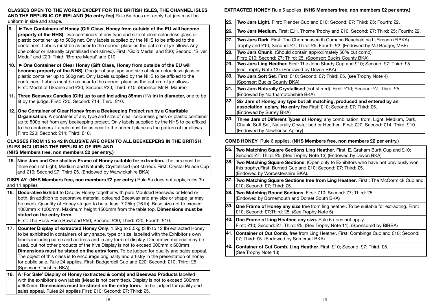**CLASSES OPEN TO THE WORLD EXCEPT FOR THE BRITISH ISLES, THE CHANNEL ISLES AND THE REPUBLIC OF IRELAND (No entry fee)** Rule 5a does not apply but jars must be uniform in size and shape.

- **9. Two Containers of Honey (Gift Class, Honey from outside of the EU will become property of the NHS)**. Two containers of any type and size of clear colourless glass or plastic container up to 500g net. Only labels supplied by the NHS to be affixed to the containers. Labels must be as near to the correct place as the pattern of jar allows Any one colour or naturally crystallised (not stirred). First: 'Gold Medal' and £30; Second: 'Silver Medal' and £20; Third: 'Bronze Medal' and £10.
- **10. One Container of Clear Honey (Gift Class, Honey from outside of the EU will become property of the NHS).** One jar of any type and size of clear colourless glass or plastic container up to 500g net. Only labels supplied by the NHS to be affixed to the containers. Labels must be as near to the correct place as the pattern of jar allows. First: Medal of Ukraine and £30; Second: £20; Third: £10. (Sponsor Mr R. Maurer)
- **11. Three Beeswax Candles (Gift) up to and including 35mm (1½ in) in diameter,** one to be lit by the judge**.** First: £20; Second: £14; Third: £10.
- **12. One Container of Clear Honey from a Beekeeping Project run by a Charitable Organisation.** A container of any type and size of clear colourless glass or plastic container up to 500g net from any beekeeping project. Only labels supplied by the NHS to be affixed to the containers. Labels must be as near to the correct place as the pattern of jar allows First: £20; Second: £14; Third: £10.

# **CLASSES FROM 15 to 42 INCLUSIVE ARE OPEN TO ALL BEEKEEPERS IN THE BRITISH ISLES INCLUDING THE REPUBLIC OF IRELAND**

**(NHS Members free, non members £2 per entry.)**

**15. Nine Jars and One shallow Frame of Honey suitable for extraction.** The jars must be three each of Light, Medium and Naturally Crystallised (not stirred). First: Crystal Palace Cup and £10; Second £7; Third £5. (Endowed by Warwickshire BKA)

**DISPLAY (NHS Members free, non members £2 per entry.)** Rule 5a does not apply, rules 3b and 11 applies

**16. Decorative Exhibit** to Display Honey together with pure Moulded Beeswax or Mead or both. (In addition to decorative material, coloured Beeswax and any size or shape jar may be used). Quantity of Honey staged to be at least 7.25kg (16 lb). Base size not to exceed 1000mm x 1000mm. Maximum height 1500mm from the table top. **Dimensions must be stated on the entry form.** 

First: The Ross Rose Bowl and £50; Second: £30; Third: £20; Fourth: £10.

- **17. Counter Display of extracted Honey Only**. 1.5kg to 5.5kg (3 lb to 12 lb) extracted Honey to be exhibited in containers of any shape, type or size, labelled with the Exhibitor's own labels including name and address and in any form of display. Decorative material may be used, but not other products of the hive Display is not to exceed 600mm x 600mm **Dimensions must be stated on the entry form.** To be judged for quality and sales appeal. The object of this class is to encourage originality and artistry in the presentation of honey for public sale. Rule 24 applies. First: Badgerdell Cup and £20; Second: £10; Third: £5. (Sponsor: Cheshire BKA)
- **18. A 'For Sale' Display of Honey (extracted & comb) and Beeswax Products** labelled with the exhibitor's own labels. (Mead is not permitted). Display is not to exceed 600mm x 600mm. **Dimensions must be stated on the entry form.** To be judged for quality and sales appeal. Rules 24 applies First: £10; Second: £7; Third: £5.

# **EXTRACTED HONEY** Rule 5 applies **(NHS Members free, non members £2 per entry.)**

| 25. | Two Jars Light. First: Plender Cup and £10; Second: £7; Third: £5; Fourth: £2.                                                                                                                                 |
|-----|----------------------------------------------------------------------------------------------------------------------------------------------------------------------------------------------------------------|
| 26. | Two Jars Medium. First: E.H. Thorne Trophy and £10; Second: £7; Third: £5; Fourth: £2.                                                                                                                         |
| 27. | Two Jars Dark. First: The Chomhnascadh Cumann Beachairí na h-Éireann (FIBKA)<br>Trophy and £10; Second: £7; Third: £5; Fourth: £2. (Endowed by MJ Badger, MBE)                                                 |
| 28. | Two Jars Chunk. (Should contain approximately 50% cut comb).<br>First: £10; Second: £7; Third: £5. (Sponsor: Bucks County BKA)                                                                                 |
| 29. | Two Jars Ling Heather. First: The John Sturdy Cup and £10; Second: £7; Third: £5.<br>(see Trophy Note 13). (Endowed by Devon BKA)                                                                              |
| 30. | Two Jars Soft Set. First: £10; Second: £7; Third: £5. (see Trophy Note 4)<br>(Sponsor: Bucks County BKA).                                                                                                      |
| 31. | Two Jars Naturally Crystallised (not stirred). First: £10; Second: £7; Third: £5.<br>(Endowed by Northamptonshire BKA)                                                                                         |
| 32. | Six Jars of Honey, any type but all matching, produced and entered by an<br>association apiary. No entry fee First: £10; Second: £7; Third: £5.<br>(Endowed by Surrey BKA)                                     |
| 33. | Three Jars of Different Types of Honey, any combination, from. Light, Medium, Dark,<br>Chunk, Soft Set, Naturally Crystallised or Heather. First: £20; Second: £14; Third: £10<br>(Endowed by Newhouse Apiary) |
|     | <b>COMB HONEY</b> Rule 6 applies. (NHS Members free, non members £2 per entry.)                                                                                                                                |
| 35. | Two Matching Square Sections Ling Heather. First: E. Graham Burtt Cup and £10;<br>Second: £7; Third: £5. (See Trophy Note 13) (Endowed by Devon BKA)                                                           |
|     | 36. Two Matching Square Sections. (Open only to Exhibitors who have not previously won<br>this trophy). First: Burnett Cup and £10; Second: £7; Third: £5.<br>(Endowed by Worcestershire BKA).                 |
|     | 37. Two Matching Square Sections free from Ling Heather. First: The McCormick Cup and<br>£10; Second: £7; Third: £5.                                                                                           |
| 38. | Two Matching Round Sections. First: £10; Second: £7; Third: £5.<br>(Endowed by Bornemouth and Dorset South BKA)                                                                                                |
| 39. | <b>One Frame of Honey any size</b> free from ling heather. To be suitable for extracting. First:<br>£10; Second: £7; Third: £5. (See Trophy Note 5)                                                            |
| 40. | One Frame of Ling Heather, any size. Rule 6 does not apply.<br>First: £10; Second: £7; Third: £5. (See Trophy Note 11). (Sponsored by BIBBA)                                                                   |
| 41. | Container of Cut Comb, free from Ling Heather. First: Combings Cup and £10; Second:<br>£7; Third: £5. (Endowed by Somerset BKA)                                                                                |
|     |                                                                                                                                                                                                                |

**42. Container of Cut Comb. Ling Heather.** First: £10; Second: £7; Third: £5. (See Trophy Note 13)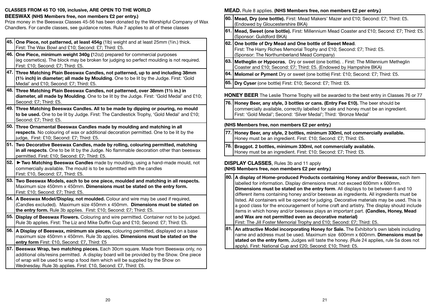#### **CLASSES FROM 45 TO 109, inclusive, ARE OPEN TO THE WORLD**

#### **BEESWAX (NHS Members free, non members £2 per entry.)**

Prize money in the Beeswax Classes 45-56 has been donated by the Worshipful Company of Wax Chandlers. For candle classes, see guidance notes. Rule 7 applies to all of these classes

|       | 45. One Piece, not patterned, at least 454g (1lb) weight and at least 25mm (1in.) thick.<br>First: The Wax Bowl and £10; Second: £7; Third: £5.                                                                                                                                                                                  |
|-------|----------------------------------------------------------------------------------------------------------------------------------------------------------------------------------------------------------------------------------------------------------------------------------------------------------------------------------|
|       | 46. One Piece, minimum weight 340g (12oz) prepared for commercial purposes<br>(eg cosmetics). The block may be broken for judging so perfect moulding is not required.<br>First: £10; Second: £7; Third: £5.                                                                                                                     |
|       | 47. Three Matching Plain Beeswax Candles, not patterned, up to and including 38mm<br>(11/2 inch) in diameter; all made by Moulding. One to be lit by the Judge. First: 'Gold<br>Medal' and £10; Second: £7; Third: £5.                                                                                                           |
|       | 48. Three Matching Plain Beeswax Candles, not patterned, over 38mm (1½ in.) in<br>diameter, all made by Moulding. One to be lit by the Judge. First: 'Gold Medal' and £10;<br>Second: £7; Third: £5.                                                                                                                             |
|       | 49. Three Matching Beeswax Candles. All to be made by dipping or pouring, no mould<br>to be used. One to be lit by Judge. First: The Candlestick Trophy, 'Gold Medal' and £10;<br>Second: £7; Third: £5.                                                                                                                         |
|       | 50. Three Ornamental Beeswax Candles made by moulding and matching in all<br>respects. No colouring of wax or additional decoration permitted. One to be lit by the<br>judge, First: £10; Second: £7; Third: £5.                                                                                                                 |
|       | 51. Two Decorative Beeswax Candles, made by rolling, colouring permitted, matching<br>in all respects. One to be lit by the Judge. No flammable decoration other than beeswax<br>permitted. First: £10; Second: £7; Third: £5.                                                                                                   |
| 52.   | Two Matching Beeswax Candles made by moulding, using a hand-made mould, not<br>commercially available. The mould is to be submttted with the candles<br>First: £10, Second: £7, Third: £5.                                                                                                                                       |
|       | 53. Two Beeswax Models, each to be one piece, moulded and matching in all respects.<br>Maximum size 450mm x 450mm. Dimensions must be stated on the entry form.<br>First: £10; Second: £7; Third: £5.                                                                                                                            |
| 54. l | A Beeswax Model/Display, not moulded. Colour and wire may be used if required,<br>(Candles excluded). Maximum size 450mm x 450mm. Dimensions must be stated on<br>the entry form. Rule 3b applies. First: £10; Second: £7; Third: £5.                                                                                            |
|       | 55. Display of Beeswax Flowers. Colouring and wire permitted. Container not to be judged.<br>Rule 3b applies. First: The Liz and Mike Duffin Cup and £10; Second: £7; Third: £5.                                                                                                                                                 |
| 56.   | A Display of Beeswax, minimum six pieces, colouring permitted, displayed on a base<br>maximum size 450mm x 450mm. Rule 3b applies. Dimensions must be stated on the<br>entry form First: £10, Second: £7, Third: £5                                                                                                              |
| 57. l | Beeswax Wrap, two matching pieces. Each 30cm square. Made from Beeswax only, no<br>additional oils/resins permitted. A display board will be provided by the Show. One piece<br>of wrap will be used to wrap a food item which will be supplied by the Show on<br>Wednesday. Rule 3b applies. First: £10, Second: £7, Third: £5. |

# **MEAD.** Rule 8 applies. **(NHS Members free, non members £2 per entry.)**

- **60. Mead, Dry (one bottle).** First: Mead Makers' Mazer and £10; Second: £7; Third: £5. (Endowed by Gloucestershire BKA)
- **61. Mead, Sweet (one bottle).** First: Millennium Mead Coaster and £10; Second: £7; Third: £5. (Sponsor: Guildford BKA)
- **62. One bottle of Dry Mead and One bottle of Sweet Mead**. First: The Harry Riches Memorial Trophy and £10; Second: £7; Third: £5. (Sponsor: The Northumberland Mead Company)
- **63. Metheglin or Hypocras**, Dry or sweet (one bottle). . First: The Millennium Metheglin Coaster and £10; Second: £7; Third: £5. (Endowed by Hampshire BKA)
- **64. Melomel or Pyment** Dry or sweet (one bottle) First: £10; Second: £7; Third: £5.
- **65. Dry Cyser** (one bottle) First: £10; Second: £7; Third: £5.

**HONEY BEER** The Leslie Thorne Trophy will be awarded to the best entry in Classes 76 or 77

**76. Honey Beer, any style, 3 bottles or cans. (Entry Fee £10).** The beer should be commercially available, correctly labelled for sale and honey must be an ingredient. First: 'Gold Medal'; Second: 'Silver Medal'; Third: 'Bronze Medal'

### **(NHS Members free, non members £2 per entry.)**

- **77. Honey Beer, any style, 2 bottles, minimum 330ml, not commercially available.** Honey must be an ingredient. First: £10; Second: £7; Third: £5.
- **78. Braggot. 2 bottles, minimum 330ml, not commercially available.** Honey must be an ingredient. First: £10; Second: £7; Third: £5.

### **DISPLAY CLASSES**, Rules 3b and 11 apply **(NHS Members free, non members £2 per entry.)**

|                                                                             | 80. A display of Home-produced Products containing Honey and/or Beeswax, each item           |  |
|-----------------------------------------------------------------------------|----------------------------------------------------------------------------------------------|--|
| labelled for information. Display dimensions must not exceed 600mm x 600mm. |                                                                                              |  |
|                                                                             | <b>Dimensions must be stated on the entry form.</b> All displays to be between 6 and 10      |  |
|                                                                             | different items containing honey and/or beeswax as ingredients. All ingredients must be      |  |
|                                                                             | listed. All containers will be opened for judging. Decorative materials may be used. This is |  |
|                                                                             | a good class for the encouragement of home craft and artistry. The display should include    |  |
|                                                                             | litems in which honey and/or beeswax plays an important part. (Candles, Honey, Mead          |  |
|                                                                             | and Wax are not permitted even as decorative material)                                       |  |
|                                                                             | First: The Jill Foster Memorial Trophy and £10; Second: £7; Third: £5.                       |  |
|                                                                             | 81. An attractive Model incorporating Honey for Sale. The Exhibitor's own labels including   |  |

**81. An attractive Model incorporating Honey for Sale.** The Exhibitor's own labels including name and address must be used. Maximum size 600mm x 600mm. **Dimensions must be stated on the entry form**, Judges will taste the honey. (Rule 24 applies, rule 5a does not apply). First: National Cup and £20; Second: £10; Third: £5.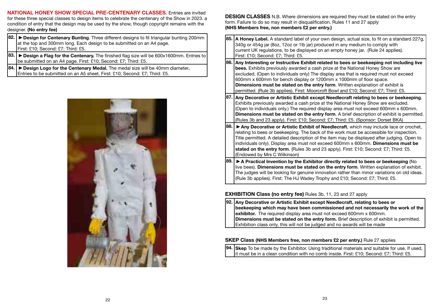**NATIONAL HONEY SHOW SPECIAL PRE-CENTENARY CLASSES.** Entries are invited for these three special classes to design items to celebrate the centenary of the Show in 2023. a condition of entry that the design may be used by the show, though copyright remains with the designer. **(No entry fee)**

- **82.** ▶ Design for Centenary Bunting. Three different designs to fit triangular bunting 200mm at the top and 300mm long. Each design to be submitted on an A4 page. First: £10; Second: £7; Third: £5.
- **83.** ▶ Design a Flag for the Centenary. The finished flag size will be 600x1600mm. Entries to be submitted on an A4 page. First: £10; Second: £7; Third: £5.
- **84. Design Logo for the Centenary Medal.** The medal size will be 40mm diameter**.** Entries to be submitted on an A5 sheet. First: £10; Second: £7; Third: £5.



**DESIGN CLASSES** N.B. Where dimensions are required they must be stated on the entry form. Failure to do so may result in disqualification. Rules 11 and 27 apply **(NHS Members free, non members £2 per entry.)**

- **85. A Honey Label.** A standard label of your own design, actual size, to fit on a standard 227g, 340g or 454g jar (8oz, 12oz or 1lb jar) produced in any medium to comply with current UK regulations, to be displayed on an empty honey jar. (Rule 24 applies). First: £10; Second: £7; Third: £5. **86. Any Interesting or Instructive Exhibit related to bees or beekeeping not including live bees.** Exhibits previously awarded a cash prize at the National Honey Show are excluded. (Open to individuals only) The display area that is required must not exceed 600mm x 600mm for bench display or 1200mm x 1000mm of floor space. **Dimensions must be stated on the entry form**. Written explanation of exhibit is permitted. (Rule 3b applies). First: Moorcroft Bowl and £10; Second: £7; Third: £5. **87. Any Decorative or Artistic Exhibit except Needlecraft relating to bees or beekeeping**. Exhibits previously awarded a cash prize at the National Honey Show are excluded. (Open to individuals only.) The required display area must not exceed 600mm x 600mm. **Dimensions must be stated on the entry form**. A brief description of exhibit is permitted. (Rules 3b and 23 apply). First: £10; Second: £7; Third: £5. (Sponsor: Dorset BKA) **88.** ▶ Any Decorative or Artistic Exhibit of Needlecraft, which may include lace or crochet, relating to bees or beekeeping. The back of the work must be accessible for inspection. Title permitted. A detailed description of the item may be displayed after judging. Open to individuals only). Display area must not exceed 600mm x 600mm. **Dimensions must be stated on the entry form**. (Rules 3b and 23 apply). First: £10; Second: £7; Third: £5. (Endowed by Mrs C Wilkinson)
- **89. ▶ A Practical Invention by the Exhibitor directly related to bees or beekeeping (No** live bees). **Dimensions must be stated on the entry form**. Written explanation of exhibit. The judges will be looking for genuine innovation rather than minor variations on old ideas. (Rule 3b applies). First: The HJ Wadey Trophy and £10; Second: £7; Third: £5.

### **EXHIBITION Class (no entry fee)** Rules 3b, 11, 23 and 27 apply

**92. Any Decorative or Artistic Exhibit except Needlecraft, relating to bees or beekeeping which may have been commissioned and not necessarily the work of the exhibitor.** The required display area must not exceed 600mm x 600mm. **Dimensions must be stated on the entry form.** Brief description of exhibit is permitted. Exhibition class only, this will not be judged and no awards will be made

#### **SKEP Class (NHS Members free, non members £2 per entry.)** Rule 27 applies

**94. Skep** To be made by the Exhibitor. Using traditional materials and suitable for use. If used,  $\overline{\mathsf{I}}$ it must be in a clean condition with no comb inside. First: £10: Second: £7: Third: £5.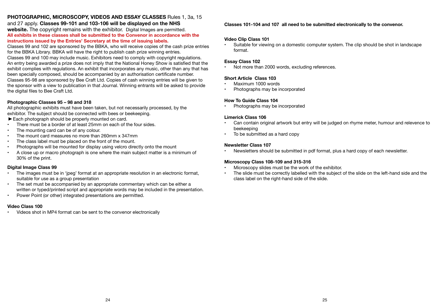# **PHOTOGRAPHIC, MICROSCOPY, VIDEOS AND ESSAY CLASSES** Rules 1, 3a, 15

and 27 apply. **Classes 99-101 and 103-106 will be displayed on the NHS website.** The copyright remains with the exhibitor. Digital Images are permitted. **All exhibits in these classes shall be submitted to the Convenor in accordance with the instructions issued by the Entries' Secretary at the time of issuing labels.**

Classes 99 and 102 are sponsored by the BBKA, who will receive copies of the cash prize entries for the BBKA Library. BBKA will have the right to publish cash prize winning entries. Classes 99 and 100 may include music. Exhibitors need to comply with copyright regulations. An entry being awarded a prize does not imply that the National Honey Show is satisfied that the exhibit complies with regulations. An exhibit that incorporates any music, other than any that has been specially composed, should be accompanied by an authorisation certificate number. Classes 95-98 are sponsored by Bee Craft Ltd. Copies of cash winning entries will be given to the sponsor with a view to publication in that Journal. Winning entrants will be asked to provide the digital files to Bee Craft Ltd.

#### **Photographic Classes 95 – 98 and 318**

All photographic exhibits must have been taken, but not necessarily processed, by the exhibitor. The subject should be connected with bees or beekeeping.

- Each photograph should be properly mounted on card.
- There must be a border of at least 25mm on each of the four sides.
- The mounting card can be of any colour.
- The mount card measures no more than 260mm x 347mm
- The class label must be placed on the front of the mount.<br>• Photographs will be mounted for display using veloro dire
- Photographs will be mounted for display using velcro directly onto the mount
- A close up or macro photograph is one where the main subject matter is a minimum of 30% of the print.

#### **Digital Image Class 99**

- The images must be in 'jpeg' format at an appropriate resolution in an electronic format, suitable for use as a group presentation
- The set must be accompanied by an appropriate commentary which can be either a written or typed/printed script and appropriate words may be included in the presentation.
- Power Point (or other) integrated presentations are permitted.

#### **Video Class 100**

• Videos shot in MP4 format can be sent to the convenor electronically

# **Classes 101-104 and 107 all need to be submitted electronically to the convenor.**

# **Video Clip Class 101**

• Suitable for viewing on a domestic computer system. The clip should be shot in landscape format.

# **Essay Class 102**

Not more than 2000 words, excluding references.

# **Short Article Class 103**

- Maximum 1000 words
- Photographs may be incorporated

# **How To Guide Class 104**

• Photographs may be incorporated

# **Limerick Class 106**

- Can contain original artwork but entry will be judged on rhyme meter, humour and relevence to beekeeping
- To be submitted as a hard copy

#### **Newsletter Class 107**

• Newsletters should be submitted in pdf format, plus a hard copy of each newsletter.

### **Microscopy Class 108-109 and 315-316**

- Microscopy slides must be the work of the exhibitor.
- The slide must be correctly labelled with the subject of the slide on the left-hand side and the class label on the right-hand side of the slide.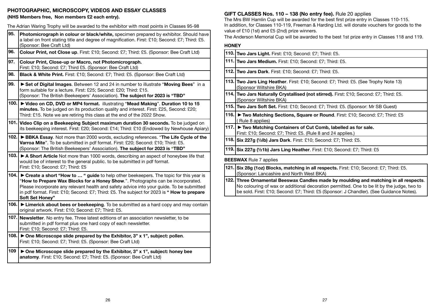#### **PHOTOGRAPHIC, MICROSCOPY, VIDEOS AND ESSAY CLASSES (NHS Members free, Non members £2 each entry).**

The Adrian Waring Trophy will be awarded to the exhibitor with most points in Classes 95-98

| 95.   | Photomicrograph in colour or black/white, specimen prepared by exhibitor. Should have<br>a label on front stating title and degree of magnification. First: £10; Second: £7; Third: £5.<br>(Sponsor: Bee Craft Ltd)                                                                                                                                                                            |
|-------|------------------------------------------------------------------------------------------------------------------------------------------------------------------------------------------------------------------------------------------------------------------------------------------------------------------------------------------------------------------------------------------------|
| 96.   | Colour Print, not Close up. First: £10; Second: £7; Third: £5. (Sponsor: Bee Craft Ltd)                                                                                                                                                                                                                                                                                                        |
| 97.   | Colour Print, Close-up or Macro, not Photomicrograph.<br>First: £10; Second: £7; Third £5. (Sponsor: Bee Craft Ltd)                                                                                                                                                                                                                                                                            |
| 98.   | Black & White Print. First: £10; Second: £7; Third: £5. (Sponsor: Bee Craft Ltd)                                                                                                                                                                                                                                                                                                               |
| 99.   | Set of Digital Images. Between 12 and 24 in number to illustrate "Moving Bees" in a<br>form suitable for a lecture. First: £25; Second: £20; Third: £15.<br>(Sponsor: The British Beekeepers' Association). The subject for 2023 is "TBD"                                                                                                                                                      |
| 100.  | ► Video on CD, DVD or MP4 format. illustrating "Mead Making". Duration 10 to 15<br>minutes. To be judged on its production quality and interest. First: £25, Second: £20;<br>Third: £15. Note we are retiring this class at the end of the 2022 Show.                                                                                                                                          |
|       | 101. Video Clip on a Beekeeping Subject maximum duration 30 seconds. To be judged on<br>its beekeeping interest. First: £20; Second: £14; Third: £10 (Endowed by Newhouse Apiary)                                                                                                                                                                                                              |
| 102.  | BBKA Essay. Not more than 2000 words, excluding references. "The Life Cycle of the<br>Varroa Mite". To be submitted in pdf format. First: £20; Second: £10; Third: £5.<br>(Sponsor: The British Beekeepers' Association). The subject for 2023 is "TBD"                                                                                                                                        |
| 103.  | A Short Article Not more than 1000 words, describing an aspect of honeybee life that<br>would be of interest to the general public. to be submitted in pdf format.<br>First: £10; Second: £7; Third: £5                                                                                                                                                                                        |
| 104.  | ► Create a short "How to  " guide to help other beekeepers. The topic for this year is<br>"How to Prepare Wax Blocks for a Honey Show.". Photographs can be incorporated.<br>Please incorporate any relevant health and safety advice into your guide. To be submitted<br>in pdf format. First: £10; Second: £7; Third: £5. The subject for 2023 is " How to prepare<br><b>Soft Set Honey"</b> |
|       | 106. Eimerick about bees or beekeeping. To be submitted as a hard copy and may contain<br>original artwork. First: £10; Second: £7; Third: £5.                                                                                                                                                                                                                                                 |
| 107.l | Newsletter. No entry fee. Three latest editions of an association newsletter, to be<br>submitted in pdf format plus one hard copy of each newsletter.<br>First: £10; Second: £7; Third: £5.                                                                                                                                                                                                    |
| 108.  | $\triangleright$ One Microscope slide prepared by the Exhibitor, 3" x 1", subject: pollen.<br>First: £10; Second: £7; Third: £5. (Sponsor: Bee Craft Ltd)                                                                                                                                                                                                                                      |
| 109   | ▶ One Microscope slide prepared by the Exhibitor, 3" x 1", subject: honey bee<br>anatomy. First: £10; Second: £7; Third: £5. (Sponsor: Bee Craft Ltd)                                                                                                                                                                                                                                          |

# **GIFT CLASSES Nos. 110 – 138 (No entry fee).** Rule 20 applies

The Mrs BW Hamlin Cup will be awarded for the best first prize entry in Classes 110-115. In addition, for Classes 110-119, Freeman & Harding Ltd. will donate vouchers for goods to the value of £10 (1st) and £5 (2nd) prize winners.

The Anderson Memorial Cup will be awarded to the best 1st prize entry in Classes 118 and 119.

#### **HONEY**

| 110. Two Jars Light. First: £10; Second: £7; Third: £5.                                                                          |  |
|----------------------------------------------------------------------------------------------------------------------------------|--|
| 111. Two Jars Medium. First: £10; Second: £7; Third: £5.                                                                         |  |
| 112. Two Jars Dark. First: £10; Second: £7; Third: £5.                                                                           |  |
| 113. Two Jars Ling Heather. First: £10; Second: £7; Third: £5. (See Trophy Note 13)<br>(Sponsor Wiltshire BKA)                   |  |
| 114. Two Jars Naturally Crystallised (not stirred). First: £10; Second: £7; Third: £5.<br>(Sponsor Wiltshire BKA)                |  |
| 115. Two Jars Soft Set. First: £10; Second: £7; Third: £5. (Sponsor: Mr SB Guest)                                                |  |
| 116. I Two Matching Sections, Square or Round. First: £10; Second: £7; Third: £5<br>(Rule 8 applies)                             |  |
| 117. E Two Matching Containers of Cut Comb, labelled as for sale.<br>First: £10; Second: £7; Third: £5. (Rule 8 and 24 applies.) |  |
| 118. Six 227g (1/2lb) Jars Dark. First: £10; Second: £7; Third: £5.                                                              |  |
| 119. Six 227g (1/21b) Jars Ling Heather. First: £10; Second: £7; Third: £5                                                       |  |
| <b>BEESWAX</b> Rule 7 applies                                                                                                    |  |
| 191   Qira Qora (4 an), Dia alan penatahian inggil pengantan Finata Of Or October 16 OZ. Thirds OF                               |  |

#### **121. Six 28g (1oz) Blocks, matching in all respects.** First: £10; Second: £7; Third: £5. (Sponsor: Lancashire and North West BKA)

**122. Three Ornamental Beeswax Candles made by moulding and matching in all respects**. No colouring of wax or additional decoration permitted. One to be lit by the judge, two to be sold. First: £10; Second: £7; Third: £5 (Sponsor: J Chandler). (See Guidance Notes).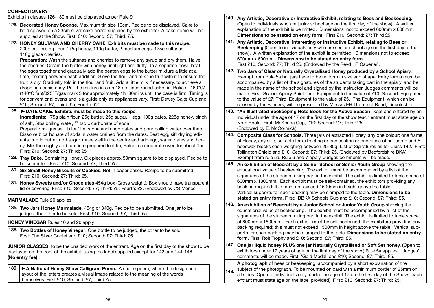# **CONFECTIONERY**

Exhibits in classes 126-130 must be displayed as per Rule 9

| Exhibits in classes 126-130 must be displayed as per Rule 9                                                                                                                                                                                                                                                                                                                                                                                                                                                                                                                                                                   |                                                                                                                                                                                                                                                                                                                                                                         | 140. Any Artistic, Decorative or Instructive Exhibit, relating to Bees and Beekeeping.                                                                                                                                                                                                                                                                                                                                                                                                                                                                                                                                                      |  |
|-------------------------------------------------------------------------------------------------------------------------------------------------------------------------------------------------------------------------------------------------------------------------------------------------------------------------------------------------------------------------------------------------------------------------------------------------------------------------------------------------------------------------------------------------------------------------------------------------------------------------------|-------------------------------------------------------------------------------------------------------------------------------------------------------------------------------------------------------------------------------------------------------------------------------------------------------------------------------------------------------------------------|---------------------------------------------------------------------------------------------------------------------------------------------------------------------------------------------------------------------------------------------------------------------------------------------------------------------------------------------------------------------------------------------------------------------------------------------------------------------------------------------------------------------------------------------------------------------------------------------------------------------------------------------|--|
| 126. Decorated Honey Sponge. Maximum tin size 19cm. Recipe to be displayed. Cake to<br>be displayed on a 23cm silver cake board supplied by the exhibitor. A cake dome will be<br>supplied at the Show. First: £10; Second: £7; Third; £5.                                                                                                                                                                                                                                                                                                                                                                                    |                                                                                                                                                                                                                                                                                                                                                                         | (Open to individuals who are junior school age on the first day of the show). A written<br>explanation of the exhibit is permitted. Dimensions not to exceed 600mm x 600mm.<br>Dimensions to be stated on entry form. First £10; Second: £7; Third £5.                                                                                                                                                                                                                                                                                                                                                                                      |  |
| 127. HONEY SULTANA AND CHERRY CAKE. Exhibits must be made to this recipe.<br>200g self raising flour, 175g honey, 110g butter, 2 medium eggs, 175g sultanas,<br>110g glace cherries.<br>Preparation; Wash the sultanas and cherries to remove any syrup and dry them. Halve<br>the cherries, Cream the butter with honey until light and fluffy. In a separate bowl, beat                                                                                                                                                                                                                                                     |                                                                                                                                                                                                                                                                                                                                                                         | 141. Any Artistic, Decorative, Interesting or Instructive Exhibit, relating to Bees or<br>Beekeeping (Open to individuals only who are senior school age on the first day of the<br>show). A written explanation of the exhibit is permitted. Dimensions not to exceed<br>600mm x 600mm. Dimensions to be stated on entry form<br>First £10; Second: £7; Third £5. (Endowed by the Revd HF Capener)                                                                                                                                                                                                                                         |  |
| the eggs together and gradually add the beaten eggs to the butter mixture a little at a<br>time, beating between each addition. Sieve the flour and mix the fruit with it to ensure the<br>fruit is dry. Gradually fold in the flour and fruit. Add a little milk if necessary, to achieve a<br>dropping consistency. Put the mixture into an 18 cm lined round cake tin. Bake at 160°C/<br>(140°C fan)/325°F/gas mark 3 for approximately 1hr 30mins until the cake is firm. Timing is<br>for conventional ovens and is a guide only as appliances vary. First: Dewey Cake Cup and<br>£10; Second: £7; Third: £5; Fourth: £2 |                                                                                                                                                                                                                                                                                                                                                                         | 142. Two Jars of Clear or Naturally Crystallised Honey produced by a School Apiary.<br>Exempt from Rule 5a but jars have to be uniform in size and shape. Entry forms must be<br>accompanied by a list of the signatures of the students taking part in the apiary, and be<br>made in the name of the school and signed by the Instructor. Judges comments will be<br>made. First: School Apiary Shield and Equipment to the value of £10; Second: Equipment<br>to the value of £7; Third: Equipment to the value of £5. The Equipment, which can be<br>chosen by the winners, will be presented by Messrs EH Thorne of Rand, Lincolnshire. |  |
| 128.<br>DATE CAKE. Exhibits must be made to this recipe.<br>Ingredients; 175g plain flour, 25g butter, 25g sugar, 1 egg, 100g dates, 225g honey, pinch<br>of salt, 5tbs boiling water, <sup>1/2</sup> tsp bicarbonate of soda<br>Preparation:- grease 1lb.loaf tin, stone and chop dates and pour boiling water over them.                                                                                                                                                                                                                                                                                                    |                                                                                                                                                                                                                                                                                                                                                                         | 143.  "An Illustrated Beekeeping Note Book for the Active Season" kept and entered by an<br>individual under the age of 17 on the first day of the show (each entrant must state age on<br>Note Book). First: McKenna Cup, £10; Second: £7; Third: £5.<br>(Endowed by E. McCormick)                                                                                                                                                                                                                                                                                                                                                         |  |
| Dissolve bicarbonate of soda in water drained from the dates. Beat egg, sift dry ingredi-<br>ents, rub in butter, add sugar, make well in the centre and add egg, water, dates and hon-<br>ey. Mix thoroughly and turn into prepared loaf tin, Bake in a moderate oven for about 1hr.<br>First: £10; Second: £7; Third; £5                                                                                                                                                                                                                                                                                                    | 144. Composite Class for Schools. Three jars of extracted Honey, any one colour; one frame<br>of Honey, any size, suitable for extracting or one section or one piece of cut comb and 5<br>beeswax blocks each weighing between 25-30g. List of Signatures as for Class 142. First:<br>Tollington Shield and £10; Second: £7; Third: £5. (Endowed by Bedfordshire BKA). |                                                                                                                                                                                                                                                                                                                                                                                                                                                                                                                                                                                                                                             |  |
| 129. Tray Bake. Containing Honey. Six pieces approx 50mm square to be displayed. Recipe to<br>be submitted. First: £10; Second: £7; Third: £5                                                                                                                                                                                                                                                                                                                                                                                                                                                                                 |                                                                                                                                                                                                                                                                                                                                                                         | Exempt from rule 5a. Rule 6 and 7 apply. Judges comments will be made.<br>145. An exhibition of Beecraft by a Senior School or Senior Youth Group showing the                                                                                                                                                                                                                                                                                                                                                                                                                                                                               |  |
| 130. Six Small Honey Biscuits or Cookies. Not in paper cases. Recipe to be submitted.<br>First: £10; Second: £7; Third: £5.                                                                                                                                                                                                                                                                                                                                                                                                                                                                                                   |                                                                                                                                                                                                                                                                                                                                                                         | educational value of beekeeping. The exhibit must be accompanied by a list of the<br>signatures of the students taking part in the exhibit. The exhibit is limited to table space of                                                                                                                                                                                                                                                                                                                                                                                                                                                        |  |
| 131. Honey Sweets and/or Chocolates 454g box (Gross weight). Box should have transparent<br>lid or covering. First: £10; Second: £7; Third: £5; Fourth: £2. (Endowed by CS Mence)                                                                                                                                                                                                                                                                                                                                                                                                                                             |                                                                                                                                                                                                                                                                                                                                                                         | 600mm x 1800mm. Each exhibit must be self-contained, the exhibitors providing any<br>backing required; this must not exceed 1500mm in height above the table.<br>Vertical supports for such backing may be clamped to the table. Dimensions to be                                                                                                                                                                                                                                                                                                                                                                                           |  |
| <b>MARMALADE</b> Rule 20 applies                                                                                                                                                                                                                                                                                                                                                                                                                                                                                                                                                                                              |                                                                                                                                                                                                                                                                                                                                                                         | stated on entry form. First: BBKA Schools Cup and £10; Second: £7; Third: £5.                                                                                                                                                                                                                                                                                                                                                                                                                                                                                                                                                               |  |
| 135. Two Jars Honey Marmalade. 454g or 340g. Recipe to be submitted. One jar to be<br>judged, the other to be sold. First: £10; Second: £7; Third: £5.                                                                                                                                                                                                                                                                                                                                                                                                                                                                        |                                                                                                                                                                                                                                                                                                                                                                         | 146. An exhibition of Beecraft by a Junior School or Junior Youth Group showing the<br>educational value of beekeeping. The exhibit must be accompanied by a list of the<br>signatures of the students taking part in the exhibit. The exhibit is limited to table space                                                                                                                                                                                                                                                                                                                                                                    |  |
| HONEY VINEGAR Rules 10 and 20 apply                                                                                                                                                                                                                                                                                                                                                                                                                                                                                                                                                                                           |                                                                                                                                                                                                                                                                                                                                                                         | of 600mm x 1800mm. Each exhibit must be self-contained, the exhibitors providing any                                                                                                                                                                                                                                                                                                                                                                                                                                                                                                                                                        |  |
| 138. Two Bottles of Honey Vinegar. One bottle to be judged, the other to be sold<br>First: The Silver Goblet and £10; Second: £7; Third: £5.                                                                                                                                                                                                                                                                                                                                                                                                                                                                                  |                                                                                                                                                                                                                                                                                                                                                                         | backing required; this must not exceed 1500mm in height above the table. Vertical sup-<br>ports for such backing may be clamped to the table. Dimensions to be stated on entry<br>form. First: Rolt Trophy and £10; Second: £7; Third: £5.                                                                                                                                                                                                                                                                                                                                                                                                  |  |
| <b>JUNIOR CLASSES</b> to be the unaided work of the entrant. Age on the first day of the show to be<br>displayed on the front of the exhibit, using the label supplied except for 142 and 144-146.<br>(No entry fee)                                                                                                                                                                                                                                                                                                                                                                                                          |                                                                                                                                                                                                                                                                                                                                                                         | 147. One jar liquid honey PLUS one jar Naturally Crystallised or Soft Set honey. (Open to<br>exhibitors under 17 years of age on the first day of the show.) Rule 5a applies. Judges'<br>comments will be made. First: 'Gold Medal' and £10; Second: £7; Third: £5.                                                                                                                                                                                                                                                                                                                                                                         |  |
| 139<br>A National Honey Show Calligram Poem. A shape poem, where the design and<br>layout of the letters creates a visual image related to the meaning of the words<br>themselves. First £10; Second: £7; Third £5.                                                                                                                                                                                                                                                                                                                                                                                                           | 148.                                                                                                                                                                                                                                                                                                                                                                    | A photograph of bees or beekeeping, accompanied by a short explanation of the<br>subject of the photograph. To be mounted on card with a minimum border of 25mm on<br>all sides. Open to individuals only, under the age of 17 on the first day of the Show. (each<br>entrant must state age on the label provided). First: £10; Second: £7; Third: £5.                                                                                                                                                                                                                                                                                     |  |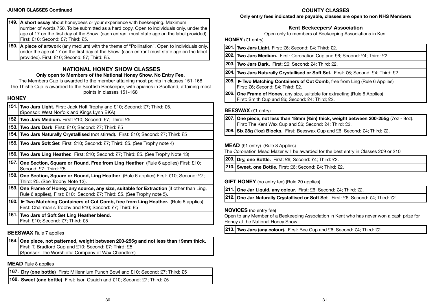#### **JUNIOR CLASSES Continued**

# **COUNTY CLASSES**

**Only entry fees indicated are payable, classes are open to non NHS Members**

|              | 149. A short essay about honeybees or your experience with beekeeping. Maximum<br>number of words 750. To be submitted as a hard copy. Open to individuals only, under the<br>age of 17 on the first day of the Show. (each entrant must state age on the label provided).<br>First: £10; Second: £7; Third: £5.          |
|--------------|---------------------------------------------------------------------------------------------------------------------------------------------------------------------------------------------------------------------------------------------------------------------------------------------------------------------------|
| 150.         | A piece of artwork (any medium) with the theme of "Pollination". Open to individuals only,<br>under the age of 17 on the first day of the Show. (each entrant must state age on the label<br>provided). First: £10; Second: £7; Third: £5.                                                                                |
| <b>HONEY</b> | <b>NATIONAL HONEY SHOW CLASSES</b><br>Only open to Members of the National Honey Show. No Entry Fee.<br>The Members Cup is awarded to the member attaining most points in classes 151-168<br>The Thistle Cup is awarded to the Scottish Beekeeper, with apiaries in Scotland, attaining most<br>points in classes 151-168 |
| 151.         | Two Jars Light. First: Jack Holt Trophy and £10; Second: £7; Third: £5.<br>(Sponsor: West Norfolk and Kings Lynn BKA)                                                                                                                                                                                                     |
| 152          | Two Jars Medium. First: £10; Second: £7; Third: £5                                                                                                                                                                                                                                                                        |
|              | 153. Two Jars Dark. First: £10; Second: £7; Third: £5                                                                                                                                                                                                                                                                     |
|              | 154. Two Jars Naturally Crystallised (not stirred). First: £10; Second: £7; Third: £5                                                                                                                                                                                                                                     |
| 155.         | Two Jars Soft Set First: £10; Second: £7; Third: £5. (See Trophy note 4)                                                                                                                                                                                                                                                  |
| 156.         | Two Jars Ling Heather. First: £10; Second: £7; Third: £5. (See Trophy Note 13)                                                                                                                                                                                                                                            |
| 157.         | One Section, Square or Round, Free from Ling Heather (Rule 6 applies) First: £10;<br>Second: £7; Third: £5.                                                                                                                                                                                                               |
|              | 158. One Section, Square or Round, Ling Heather (Rule 6 applies) First: £10; Second: £7;<br>Third: £5. (See Trophy Note 13).                                                                                                                                                                                              |
| 159.         | One Frame of Honey, any source, any size, suitable for Extraction (if other than Ling,<br>Rule 6 applies), First: £10; Second: £7; Third: £5. (See Trophy note 5).                                                                                                                                                        |
| 160.         | Two Matching Containers of Cut Comb, free from Ling Heather. (Rule 6 applies).<br>First: Chairman's Trophy and £10; Second: £7; Third: £5                                                                                                                                                                                 |
|              | 161. Two Jars of Soft Set Ling Heather blend.<br>First: £10; Second: £7; Third: £5                                                                                                                                                                                                                                        |

# **BEESWAX** Rule 7 applies

**164. One piece, not patterned, weight between 200-255g and not less than 19mm thick.**  First: T. Bradford Cup and £10; Second: £7; Third: £5 (Sponsor: The Worshipful Company of Wax Chandlers)

# **MEAD** Rule 8 applies

**167. Dry (one bottle)** First: Millennium Punch Bowl and £10; Second: £7; Third: £5

**168. Sweet (one bottle)** First: Ison Quaich and £10; Second: £7; Third: £5

# **Kent Beekeepers' Association**

Open only to members of Beekeeping Associations in Kent

**HONEY** (£1 entry)

|                             | 201. Two Jars Light. First: £6; Second: £4; Third: £2.                                                                            |
|-----------------------------|-----------------------------------------------------------------------------------------------------------------------------------|
|                             | 202. Two Jars Medium. First: Coronation Cup and £6; Second: £4; Third: £2.                                                        |
|                             | 203. Two Jars Dark. First: £6; Second: £4; Third: £2.                                                                             |
|                             | 204. Two Jars Naturally Crystallised or Soft Set. First: £6; Second: £4; Third: £2.                                               |
| I205. I                     | ► Two Matching Containers of Cut Comb, free from Ling (Rule 6 Applies)<br>First: £6; Second: £4; Third: £2.                       |
| I206.I                      | <b>One Frame of Honey, any size, suitable for extracting. (Rule 6 Applies)</b><br>First: Smith Cup and £6; Second: £4; Third; £2. |
| DEECMAY $(0.1, \text{atm})$ |                                                                                                                                   |

# **BEESWAX** (£1 entry)

- **207. One piece, not less than 18mm (¾in) thick, weight between 200-255g** (7oz 9oz). First: The Kent Wax Cup and £6; Second: £4; Third: £2.
- **208. Six 28g (1oz) Blocks.** First: Beeswax Cup and £6; Second: £4; Third: £2.

# **MEAD** (£1 entry) (Rule 8 Applies)

The Coronation Mead Mazer will be awarded for the best entry in Classes 209 or 210

**209. Dry, one Bottle.** First: £6; Second: £4; Third: £2.

**210. Sweet, one Bottle.** First: £6; Second: £4; Third: £2.

# **GIFT HONEY** (no entry fee) (Rule 20 applies)

**211. One Jar Liquid, any colour.** First: £6; Second: £4; Third: £2.

**212. One Jar Naturally Crystallised or Soft Set**. First: £6; Second: £4; Third: £2.

# **NOVICES** (no entry fee)

Open to any Member of a Beekeeping Association in Kent who has never won a cash prize for Honey at the National Honey Show.

**213. Two Jars (any colour).** First: Bee Cup and £6; Second: £4; Third: £2.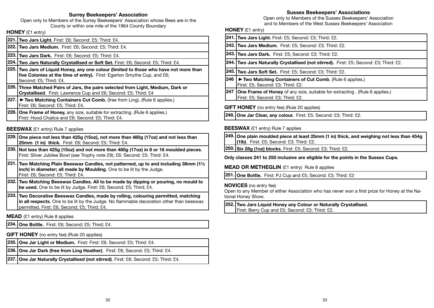#### **Surrey Beekeepers' Association**

Open only to Members of the Surrey Beekeepers' Association whose Bees are in the County or within one mile of the 1964 County Boundary

# **HONEY** (£1 entry)

- **221. Two Jars Light.** First: £6; Second: £5; Third: £4.
- **222. Two Jars Medium.** First: £6; Second: £5; Third: £4.
- **223. Two Jars Dark.** First: £6; Second: £5; Third: £4.
- **224. Two Jars Naturally Crystallised or Soft Set.** First: £6; Second: £5; Third: £4.
- **225. Two Jars of Liquid Honey, any one colour (limited to those who have not more than five Colonies at the time of entry).** First: Egerton Smythe Cup, and £6; Second: £5; Third: £4.
- **226. Three Matched Pairs of Jars, the pairs selected from Light, Medium, Dark or Crystallised**. First: Lawrence Cup and £6; Second: £5; Third: £4
- **227.** ► Two Matching Containers Cut Comb, (free from Ling). (Rule 6 applies.) First: £6; Second: £5; Third: £4.
- **228. One Frame of Honey,** any size, suitable for extracting. (Rule 6 applies.) First: Hood Chalice and £6; Second: £5; Third: £4.

#### **BEESWAX** (£1 entry) Rule 7 applies

- **229. One piece not less than 425g (15oz), not more than 480g (17oz) and not less than 25mm (1 in) thick.** First: £6; Second: £5; Third: £4.
- **230. Not less than 425g (15oz) and not more than 480g (17oz) in 8 or 16 moulded pieces**. First: Silver Jubilee Bowl (see Trophy note 29); £6: Second: £5; Third: £4.
- **231. Two Matching Plain Beeswax Candles, not patterned, up to and including 38mm (1½ inch) in diameter; all made by Moulding**. One to be lit by the Judge. First: £6; Second: £5; Third: £4.
- **232. Two Matching Beeswax Candles. All to be made by dipping or pouring, no mould to be used.** One to be lit by Judge. First: £6; Second: £5; Third; £4.
- **233. Two Decorative Beeswax Candles, made by rolling, colouring permitted, matching in all respects**. One to be lit by the Judge. No flammable decoration other than beeswax permitted. First: £6; Second; £5; Third; £4.

# **MEAD** (£1 entry) Rule 8 applies

**234. One Bottle.** First: £6; Second; £5; Third; £4.

- **GIFT HONEY** (no entry fee) (Rule 20 applies)
- **235. One Jar Light or Medium.** First: First: £6; Second: £5; Third: £4.
- **236. One Jar Dark (free from Ling Heather)**. First: £6; Second: £5; Third: £4.
- **237. One Jar Naturally Crystallised (not stirred)**. First: £6; Second: £5; Third: £4.

# **Sussex Beekeepers' Associations**

Open only to Members of the Sussex Beekeepers' Association and to Members of the West Sussex Beekeepers' Association

# **HONEY** (£1 entry)

|      | 241. Two Jars Light. First: £5; Second: £3; Third: £2.                                                                 |
|------|------------------------------------------------------------------------------------------------------------------------|
|      | 242. Two Jars Medium. First: £5; Second: £3; Third: £2.                                                                |
|      | 243. Two Jars Dark. First: £5; Second: £3; Third: £2.                                                                  |
|      | 244. Two Jars Naturally Crystallised (not stirred). First: £5; Second: £3; Third: £2.                                  |
|      | 245. Two Jars Soft Set. First: £5; Second: £3; Third: £2.                                                              |
| 246  | ► Two Matching Containers of Cut Comb. (Rule 6 applies.)<br>First: £5; Second: £3; Third: £2.                          |
| 1247 | <b>One Frame of Honey</b> of any size, suitable for extracting. (Rule 6 applies.)<br>First: £5; Second: £3; Third: £2. |
|      | <b>GIFT HONEY</b> (no entry fee) (Rule 20 applies)                                                                     |
|      | 248. One Jar Clear, any colour. First: £5; Second: £3; Third: £2.                                                      |

# **BEESWAX** (£1 entry) Rule 7 applies

**249. One plain moulded piece at least 25mm (1 in) thick, and weighing not less than 454g (1lb)**. First: £5; Second: £3; Third: £2.

**250. Six 28g (1oz) blocks**. First: £5; Second: £3; Third: £2.

**Only classes 241 to 250 inclusive are eligible for the points in the Sussex Cups.**

# **MEAD OR METHEGLIN** (£1 entry) Rule 8 applies

**251. One Bottle.** First: PJ Cup and £5; Second: £3; Third: £2

### **NOVICES** (no entry fee)

Open to any Member of either Association who has never won a first prize for Honey at the National Honey Show.

**252. Two Jars Liquid Honey any Colour or Naturally Crystallised.**  First: Berry Cup and £5; Second: £3; Third: £2.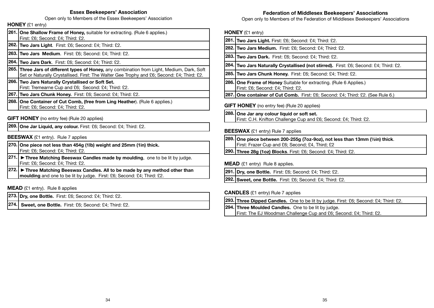#### **Essex Beekeepers' Association**

Open only to Members of the Essex Beekeepers' Association

# **HONEY** (£1 entry)

| 261. One Shallow Frame of Honey, suitable for extracting. (Rule 6 applies.) |
|-----------------------------------------------------------------------------|
| First: £6; Second: £4; Third: £2.                                           |
|                                                                             |

**262. Two Jars Light**. First: £6; Second: £4; Third: £2.

**263. Two Jars Medium**. First: £6; Second: £4; Third: £2.

**264. Two Jars Dark**. First: £6; Second: £4; Third: £2.

- **265. Three Jars of different types of Honey,** any combination from Light, Medium, Dark, Soft Set or Naturally Crystallised. First: The Walter Gee Trophy and £6; Second: £4; Third: £2.
- **266. Two Jars Naturally Crystallised or Soft Set.** First: Tremearne Cup and £6; Second: £4; Third: £2.
- **267. Two Jars Chunk Honey.** First: £6; Second: £4; Third: £2.
- **268. One Container of Cut Comb, (free from Ling Heather**). (Rule 6 applies.) First: £6; Second: £4; Third: £2.

### **GIFT HONEY** (no entry fee) (Rule 20 applies)

**269. One Jar Liquid, any colour.** First: £6; Second: £4; Third: £2.

#### **BEESWAX** (£1 entry). Rule 7 applies

**270. One piece not less than 454g (1lb) weight and 25mm (1in) thick.** First: £6; Second: £4; Third: £2.

**271. Three Matching Beeswax Candles made by moulding**, one to be lit by judge. First: £6; Second: £4; Third: £2.

**272. Three Matching Beeswax Candles. All to be made by any method other than moulding** and one to be lit by judge. First: £6; Second: £4; Third: £2.

**MEAD** (£1 entry). Rule 8 applies

**273. Dry, one Bottle.** First: £6; Second: £4; Third: £2.

**274. Sweet, one Bottle.** First: £6; Second: £4; Third: £2.

#### **Federation of Middlesex Beekeepers' Associations**

Open only to Members of the Federation of Middlesex Beekeepers' Associations

#### **HONEY** (£1 entry)

| 281. | Two Jars Light. First: £6; Second: £4; Third: £2.                                                                             |
|------|-------------------------------------------------------------------------------------------------------------------------------|
|      | 282. Two Jars Medium. First: £6; Second: £4; Third: £2.                                                                       |
|      | 283. Two Jars Dark. First: £6; Second: £4; Third: £2.                                                                         |
|      | <b>284. Two Jars Naturally Crystallised (not stirred).</b> First: £6; Second: £4; Third: £2.                                  |
| 285. | <b>Two Jars Chunk Honey.</b> First: £6; Second: £4; Third: £2.                                                                |
|      | 286. One Frame of Honey Suitable for extracting. (Rule 6 Applies.)<br>First: £6; Second: £4; Third: £2.                       |
|      | <b>287. One container of Cut Comb.</b> First: £6; Second: £4; Third: £2. (See Rule 6.)                                        |
|      | <b>GIFT HONEY</b> (no entry fee) (Rule 20 applies)                                                                            |
|      | 288. One Jar any colour liquid or soft set.<br>First: C.H. Knifton Challenge Cup and £6; Second: £4; Third: £2.               |
|      | <b>BEESWAX</b> (£1 entry) Rule 7 applies                                                                                      |
|      | 289. One piece between 200-255g (7oz-9oz), not less than 13mm (½in) thick.<br>First: Frazer Cup and £6; Second; £4, Third; £2 |
|      |                                                                                                                               |

**290. Three 28g (1oz) Blocks**. First: £6; Second: £4; Third: £2.

**MEAD** (£1 entry) Rule 8 applies.

**291. Dry, one Bottle.** First: £6; Second: £4; Third: £2.

**292. Sweet, one Bottle.** First: £6; Second: £4; Third: £2.

#### **CANDLES** (£1 entry) Rule 7 applies

**293. Three Dipped Candles.** One to be lit by judge. First: £6; Second: £4; Third: £2.

**294. Three Moulded Candles.** One to be lit by judge.

First: The EJ Woodman Challenge Cup and £6; Second: £4; Third: £2.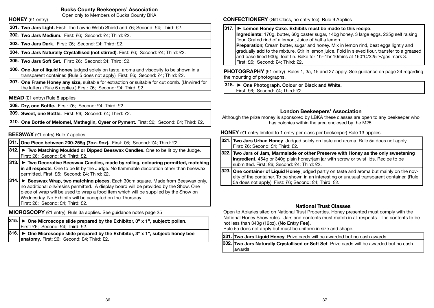### **Bucks County Beekeepers' Association**

Open only to Members of Bucks County BKA **HONEY** (£1 entry)

**302. Two Jars Medium.** First: £6; Second: £4; Third: £2.

**303. Two Jars Dark**. First: £6; Second: £4; Third: £2.

**304. Two Jars Naturally Crystallised (not stirred)**. First: £6; Second: £4; Third: £2.

**305. Two Jars Soft Set.** First: £6; Second: £4; Third: £2.

**306. One Jar of liquid honey** judged solely on taste, aroma and viscosity to be shown in a transparent container. (Rule 5 does not apply) First: £6; Second: £4; Third: £2.

**307. One Frame Honey any size,** suitable for extraction or suitable for cut comb. (Unwired for the latter) (Rule 6 applies.) First: £6; Second: £4; Third: £2.

# **MEAD** (£1 entry) Rule 8 applies

**308. Dry, one Bottle.** First: £6; Second: £4; Third: £2.

**309. Sweet, one Bottle.** First: £6; Second: £4; Third: £2.

**310. One Bottle of Melomel, Metheglin, Cyser or Pyment.** First: £6; Second: £4; Third: £2.

# **BEESWAX** (£1 entry) Rule 7 applies

**311. One Piece between 200-255g (7oz- 9oz).** First: £6; Second: £4; Third: £2.

- **312. Two Matching Moulded or Dipped Beeswax Candles.** One to be lit by the Judge. First: £6; Second: £4; Third: £2.
- **313. Two Decorative Beeswax Candles, made by rolling, colouring permitted, matching in all respects**. One to be lit by the Judge. No flammable decoration other than beeswax permitted. First: £6; Second: £4; Third: £2.
- **314. ► Beeswax Wrap, two matching pieces.** Each 30cm square. Made from Beeswax only, no additional oils/resins permitted. A display board will be provided by the Show. One piece of wrap will be used to wrap a food item which will be supplied by the Show on Wednesday. No Exhibits will be accepted on the Thursday. First: £6; Second: £4; Third: £2.

**MICROSCOPY** (£1 entry) Rule 3a applies. See guidance notes page 25

|  | $ 315. \triangleright$ One Microscope slide prepared by the Exhibitor, 3" x 1", subject: pollen. |
|--|--------------------------------------------------------------------------------------------------|
|  | First: £6; Second: £4; Third: £2.                                                                |
|  |                                                                                                  |

**316. One Microscope slide prepared by the Exhibitor, 3" x 1", subject: honey bee anatomy**. First: £6; Second: £4; Third: £2.

# **CONFECTIONERY** (Gift Class, no entry fee). Rule 9 Applies

# . **317. Lemon Honey Cake. Exhibits must be made to this recipe**.

**Ingredients**: 170g, butter, 60g caster sugar, 140g honey, 3 large eggs, 225g self raising flour, Grated rind of a lemon, Juice of half a lemon. **Preparation:** Cream butter, sugar and honey. Mix in lemon rind, beat eggs lightly and gradually add to the mixture. Stir in lemon juice. Fold in sieved flour, transfer to a greased

and base lined 900g loaf tin. Bake for 1hr-1hr 10mins at 160°C/325°F/gas mark 3. First: £6; Second: £4; Third: £2.

**PHOTOGRAPHY** (£1 entry) Rules 1, 3a, 15 and 27 apply. See quidance on page 24 regarding the mounting of photographs.

**318. One Photograph, Colour or Black and White.** First: £6; Second: £4; Third: £2.

# **London Beekeepers' Association**

Although the prize money is sponsored by LBKA these classes are open to any beekeeper who has colonies within the area enclosed by the M25.

**HONEY** (£1 entry limited to 1 entry per class per beekeeper) Rule 13 applies.

| 321. Two Jars Urban Honey. Judged solely on taste and aroma. Rule 5a does not apply.<br>First: £6; Second: £4; Third: £2.                                                                                                                          |
|----------------------------------------------------------------------------------------------------------------------------------------------------------------------------------------------------------------------------------------------------|
| 322. Two Jars of Jam, Marmalade or other Preserve with Honey as the only sweetening<br>ingredient. 454g or 340g plain honey/jam jar with screw or twist lids. Recipe to be<br>submitted. First: £6; Second: £4; Third: £2.                         |
| 323. One container of Liquid Honey judged partly on taste and aroma but mainly on the nov-<br>elty of the container. To be shown in an interesting or unusual transparent container. (Rule<br>5a does not apply) First: £6; Second: £4; Third: £2. |

### **National Trust Classes**

 Open to Apiaries sited on National Trust Properties. Honey presented must comply with the National Honey Show rules. Jars and contents must match in all respects. The contents to be not less than 340g (12oz). **(No Entry Fee).**

Rule 5a does not apply but must be uniform in size and shape.

**331. Two Jars Liquid Honey**. Prize cards will be awarded but no cash awards

**332. Two Jars Naturally Crystallised or Soft Set**. Prize cards will be awarded but no cash awards